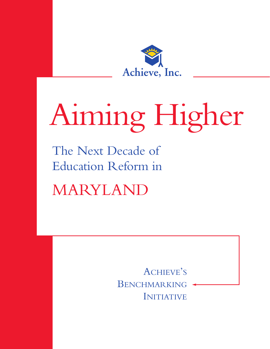

# Aiming Higher

The Next Decade of Education Reform in

MARYLAND

ACHIEVE'S **BENCHMARKING** INITIATIVE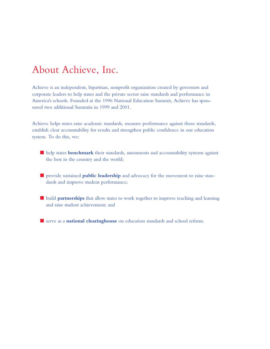# About Achieve, Inc.

Achieve is an independent, bipartisan, nonprofit organization created by governors and corporate leaders to help states and the private sector raise standards and performance in America's schools. Founded at the 1996 National Education Summit, Achieve has sponsored two additional Summits in 1999 and 2001.

Achieve helps states raise academic standards, measure performance against those standards, establish clear accountability for results and strengthen public confidence in our education system. To do this, we:

- help states **benchmark** their standards, assessments and accountability systems against the best in the country and the world;
- provide sustained **public leadership** and advocacy for the movement to raise standards and improve student performance;
- build **partnerships** that allow states to work together to improve teaching and learning and raise student achievement; and

■ serve as a **national clearinghouse** on education standards and school reform.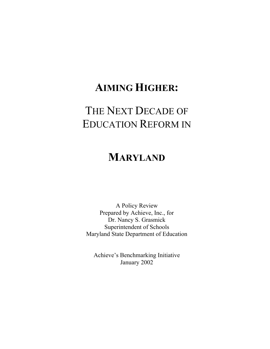# **AIMING HIGHER:**

# THE NEXT DECADE OF EDUCATION REFORM IN

# **MARYLAND**

A Policy Review Prepared by Achieve, Inc., for Dr. Nancy S. Grasmick Superintendent of Schools Maryland State Department of Education

Achieve's Benchmarking Initiative January 2002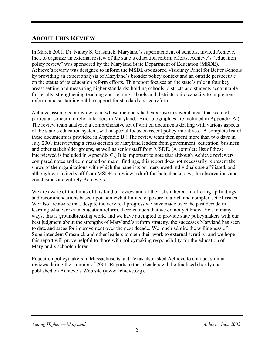## **ABOUT THIS REVIEW**

In March 2001, Dr. Nancy S. Grasmick, Maryland's superintendent of schools, invited Achieve, Inc., to organize an external review of the state's education reform efforts. Achieve's "education policy review" was sponsored by the Maryland State Department of Education (MSDE). Achieve's review was designed to inform the MSDE-sponsored Visionary Panel for Better Schools by providing an expert analysis of Maryland's broader policy context and an outside perspective on the status of its education reform efforts. This report focuses on the state's role in four key areas: setting and measuring higher standards; holding schools, districts and students accountable for results; strengthening teaching and helping schools and districts build capacity to implement reform; and sustaining public support for standards-based reform.

Achieve assembled a review team whose members had expertise in several areas that were of particular concern to reform leaders in Maryland. (Brief biographies are included in Appendix A.) The review team analyzed a comprehensive set of written documents dealing with various aspects of the state's education system, with a special focus on recent policy initiatives. (A complete list of these documents is provided in Appendix B.) The review team then spent more than two days in July 2001 interviewing a cross-section of Maryland leaders from government, education, business and other stakeholder groups, as well as senior staff from MSDE. (A complete list of those interviewed is included in Appendix C.) It is important to note that although Achieve reviewers compared notes and commented on major findings, this report does not necessarily represent the views of the organizations with which the panelists or interviewed individuals are affiliated, and, although we invited staff from MSDE to review a draft for factual accuracy, the observations and conclusions are entirely Achieve's.

We are aware of the limits of this kind of review and of the risks inherent in offering up findings and recommendations based upon somewhat limited exposure to a rich and complex set of issues. We also are aware that, despite the very real progress we have made over the past decade in learning what works in education reform, there is much that we do not yet know. Yet, in many ways, this is groundbreaking work, and we have attempted to provide state policymakers with our best judgment about the strengths of Maryland's reform strategy, the successes Maryland has seen to date and areas for improvement over the next decade. We much admire the willingness of Superintendent Grasmick and other leaders to open their work to external scrutiny, and we hope this report will prove helpful to those with policymaking responsibility for the education of Maryland's schoolchildren.

Education policymakers in Massachusetts and Texas also asked Achieve to conduct similar reviews during the summer of 2001. Reports to these leaders will be finalized shortly and published on Achieve's Web site (www.achieve.org).

#### *Aiming Higher — Maryland* **Achieve, Inc., 2002** *Achieve, Inc., 2002*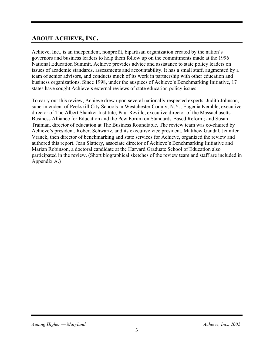## **ABOUT ACHIEVE, INC.**

Achieve, Inc., is an independent, nonprofit, bipartisan organization created by the nation's governors and business leaders to help them follow up on the commitments made at the 1996 National Education Summit. Achieve provides advice and assistance to state policy leaders on issues of academic standards, assessments and accountability. It has a small staff, augmented by a team of senior advisors, and conducts much of its work in partnership with other education and business organizations. Since 1998, under the auspices of Achieve's Benchmarking Initiative, 17 states have sought Achieve's external reviews of state education policy issues.

To carry out this review, Achieve drew upon several nationally respected experts: Judith Johnson, superintendent of Peekskill City Schools in Westchester County, N.Y.; Eugenia Kemble, executive director of The Albert Shanker Institute; Paul Reville, executive director of the Massachusetts Business Alliance for Education and the Pew Forum on Standards-Based Reform; and Susan Traiman, director of education at The Business Roundtable. The review team was co-chaired by Achieve's president, Robert Schwartz, and its executive vice president, Matthew Gandal. Jennifer Vranek, then director of benchmarking and state services for Achieve, organized the review and authored this report. Jean Slattery, associate director of Achieve's Benchmarking Initiative and Marian Robinson, a doctoral candidate at the Harvard Graduate School of Education also participated in the review. (Short biographical sketches of the review team and staff are included in Appendix A.)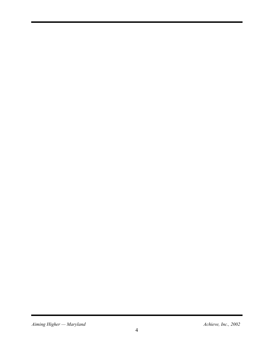*Aiming Higher — Maryland*  $A$ *chieve, Inc., 2002*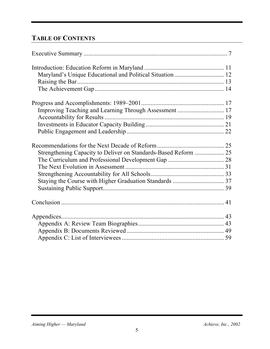# **TABLE OF CONTENTS**

| Strengthening Capacity to Deliver on Standards-Based Reform  25 |  |
|-----------------------------------------------------------------|--|
|                                                                 |  |
|                                                                 |  |
|                                                                 |  |
|                                                                 |  |
|                                                                 |  |
|                                                                 |  |
|                                                                 |  |
|                                                                 |  |
|                                                                 |  |
|                                                                 |  |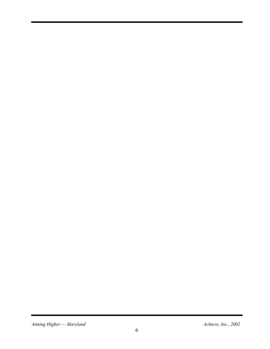*Aiming Higher — Maryland*  $A$ *chieve, Inc., 2002*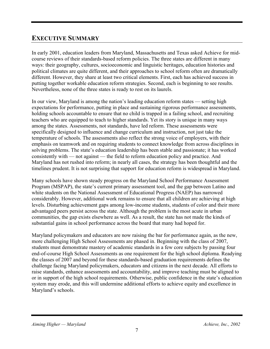## **EXECUTIVE SUMMARY**

In early 2001, education leaders from Maryland, Massachusetts and Texas asked Achieve for midcourse reviews of their standards-based reform policies. The three states are different in many ways: their geography, cultures, socioeconomic and linguistic heritages, education histories and political climates are quite different, and their approaches to school reform often are dramatically different. However, they share at least two critical elements. First, each has achieved success in putting together workable education reform strategies. Second, each is beginning to see results. Nevertheless, none of the three states is ready to rest on its laurels.

In our view, Maryland is among the nation's leading education reform states — setting high expectations for performance, putting in place and sustaining rigorous performance assessments, holding schools accountable to ensure that no child is trapped in a failing school, and recruiting teachers who are equipped to teach to higher standards. Yet its story is unique in many ways among the states. Assessments, not standards, have led reform. These assessments were specifically designed to influence and change curriculum and instruction, not just take the temperature of schools. The assessments also reflect the strong voice of employers, with their emphasis on teamwork and on requiring students to connect knowledge from across disciplines in solving problems. The state's education leadership has been stable and passionate; it has worked consistently with — not against — the field to reform education policy and practice. And Maryland has not rushed into reform; in nearly all cases, the strategy has been thoughtful and the timelines prudent. It is not surprising that support for education reform is widespread in Maryland.

Many schools have shown steady progress on the Maryland School Performance Assessment Program (MSPAP), the state's current primary assessment tool, and the gap between Latino and white students on the National Assessment of Educational Progress (NAEP) has narrowed considerably. However, additional work remains to ensure that all children are achieving at high levels. Disturbing achievement gaps among low-income students, students of color and their more advantaged peers persist across the state. Although the problem is the most acute in urban communities, the gap exists elsewhere as well. As a result, the state has not made the kinds of substantial gains in school performance across the board that many had hoped for.

Maryland policymakers and educators are now raising the bar for performance again, as the new, more challenging High School Assessments are phased in. Beginning with the class of 2007, students must demonstrate mastery of academic standards in a few core subjects by passing four end-of-course High School Assessments as one requirement for the high school diploma. Readying the classes of 2007 and beyond for these standards-based graduation requirements defines the challenge facing Maryland policymakers, educators and citizens in the next decade. All efforts to raise standards, enhance assessments and accountability, and improve teaching must be aligned to or in support of the high school requirements. Otherwise, public confidence in the state's education system may erode, and this will undermine additional efforts to achieve equity and excellence in Maryland's schools.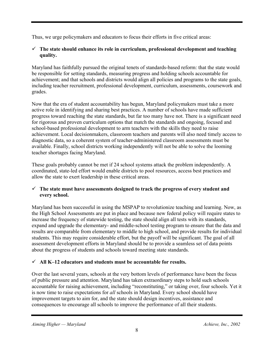Thus, we urge policymakers and educators to focus their efforts in five critical areas:

#### $\checkmark$  The state should enhance its role in curriculum, professional development and teaching **quality.**

Maryland has faithfully pursued the original tenets of standards-based reform: that the state would be responsible for setting standards, measuring progress and holding schools accountable for achievement; and that schools and districts would align all policies and programs to the state goals, including teacher recruitment, professional development, curriculum, assessments, coursework and grades.

Now that the era of student accountability has begun, Maryland policymakers must take a more active role in identifying and sharing best practices. A number of schools have made sufficient progress toward reaching the state standards, but far too many have not. There is a significant need for rigorous and proven curriculum options that match the standards and ongoing, focused and school-based professional development to arm teachers with the skills they need to raise achievement. Local decisionmakers, classroom teachers and parents will also need timely access to diagnostic data, so a coherent system of teacher-administered classroom assessments must be available. Finally, school districts working independently will not be able to solve the looming teacher shortages facing Maryland.

These goals probably cannot be met if 24 school systems attack the problem independently. A coordinated, state-led effort would enable districts to pool resources, access best practices and allow the state to exert leadership in these critical areas.

#### $\checkmark$  The state must have assessments designed to track the progress of every student and **every school.**

Maryland has been successful in using the MSPAP to revolutionize teaching and learning. Now, as the High School Assessments are put in place and because new federal policy will require states to increase the frequency of statewide testing, the state should align all tests with its standards, expand and upgrade the elementary- and middle-school testing program to ensure that the data and results are comparable from elementary to middle to high school, and provide results for individual students. This may require considerable effort, but the payoff will be significant. The goal of all assessment development efforts in Maryland should be to provide a seamless set of data points about the progress of students and schools toward meeting state standards.

#### 9 **All K–12 educators and students must be accountable for results.**

Over the last several years, schools at the very bottom levels of performance have been the focus of public pressure and attention. Maryland has taken extraordinary steps to hold such schools accountable for raising achievement, including "reconstituting," or taking over, four schools. Yet it is now time to raise expectations for *all* schools in Maryland. Every school should have improvement targets to aim for, and the state should design incentives, assistance and consequences to encourage all schools to improve the performance of all their students.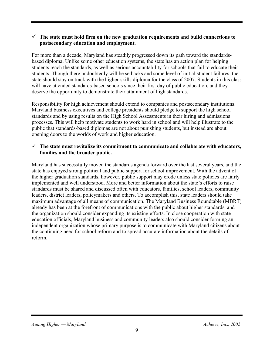#### $\checkmark$  The state must hold firm on the new graduation requirements and build connections to **postsecondary education and employment.**

For more than a decade, Maryland has steadily progressed down its path toward the standardsbased diploma. Unlike some other education systems, the state has an action plan for helping students reach the standards, as well as serious accountability for schools that fail to educate their students. Though there undoubtedly will be setbacks and some level of initial student failures, the state should stay on track with the higher-skills diploma for the class of 2007. Students in this class will have attended standards-based schools since their first day of public education, and they deserve the opportunity to demonstrate their attainment of high standards.

Responsibility for high achievement should extend to companies and postsecondary institutions. Maryland business executives and college presidents should pledge to support the high school standards and by using results on the High School Assessments in their hiring and admissions processes. This will help motivate students to work hard in school and will help illustrate to the public that standards-based diplomas are not about punishing students, but instead are about opening doors to the worlds of work and higher education.

#### $\checkmark$  The state must revitalize its commitment to communicate and collaborate with educators, **families and the broader public.**

Maryland has successfully moved the standards agenda forward over the last several years, and the state has enjoyed strong political and public support for school improvement. With the advent of the higher graduation standards, however, public support may erode unless state policies are fairly implemented and well understood. More and better information about the state's efforts to raise standards must be shared and discussed often with educators, families, school leaders, community leaders, district leaders, policymakers and others. To accomplish this, state leaders should take maximum advantage of all means of communication. The Maryland Business Roundtable (MBRT) already has been at the forefront of communications with the public about higher standards, and the organization should consider expanding its existing efforts. In close cooperation with state education officials, Maryland business and community leaders also should consider forming an independent organization whose primary purpose is to communicate with Maryland citizens about the continuing need for school reform and to spread accurate information about the details of reform.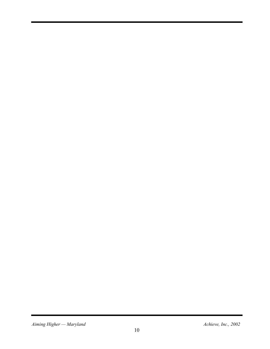*Aiming Higher — Maryland*  $A$ *chieve, Inc., 2002*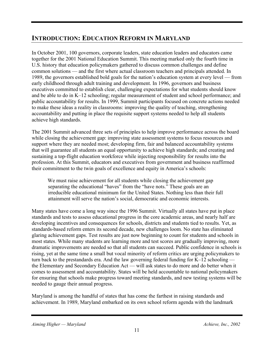# **INTRODUCTION: EDUCATION REFORM IN MARYLAND**

In October 2001, 100 governors, corporate leaders, state education leaders and educators came together for the 2001 National Education Summit. This meeting marked only the fourth time in U.S. history that education policymakers gathered to discuss common challenges and define common solutions — and the first where actual classroom teachers and principals attended. In 1989, the governors established bold goals for the nation's education system at every level — from early childhood through adult training and development. In 1996, governors and business executives committed to establish clear, challenging expectations for what students should know and be able to do in K–12 schooling; regular measurement of student and school performance; and public accountability for results. In 1999, Summit participants focused on concrete actions needed to make these ideas a reality in classrooms: improving the quality of teaching, strengthening accountability and putting in place the requisite support systems needed to help all students achieve high standards.

The 2001 Summit advanced three sets of principles to help improve performance across the board while closing the achievement gap: improving state assessment systems to focus resources and support where they are needed most; developing firm, fair and balanced accountability systems that will guarantee all students an equal opportunity to achieve high standards; and creating and sustaining a top-flight education workforce while injecting responsibility for results into the profession. At this Summit, educators and executives from government and business reaffirmed their commitment to the twin goals of excellence and equity in America's schools:

We must raise achievement for all students while closing the achievement gap separating the educational "haves" from the "have nots." These goals are an irreducible educational minimum for the United States. Nothing less than their full attainment will serve the nation's social, democratic and economic interests.

Many states have come a long way since the 1996 Summit. Virtually all states have put in place standards and tests to assess educational progress in the core academic areas, and nearly half are developing incentives and consequences for schools, districts and students tied to results. Yet, as standards-based reform enters its second decade, new challenges loom. No state has eliminated glaring achievement gaps. Test results are just now beginning to count for students and schools in most states. While many students are learning more and test scores are gradually improving, more dramatic improvements are needed so that all students can succeed. Public confidence in schools is rising, yet at the same time a small but vocal minority of reform critics are urging policymakers to turn back to the prestandards era. And the law governing federal funding for K–12 schooling the Elementary and Secondary Education Act — will ask states to do more and do better when it comes to assessment and accountability. States will be held accountable to national policymakers for ensuring that schools make progress toward meeting standards, and new testing systems will be needed to gauge their annual progress.

Maryland is among the handful of states that has come the farthest in raising standards and achievement. In 1989, Maryland embarked on its own school reform agenda with the landmark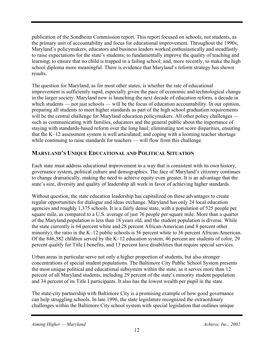publication of the Sondheim Commission report. This report focused on schools, not students, as the primary unit of accountability and focus for educational improvement. Throughout the 1990s, Maryland's policymakers, educators and business leaders worked enthusiastically and steadfastly to raise expectations for the state's students; to fundamentally improve the quality of teaching and learning; to ensure that no child is trapped in a failing school; and, more recently, to make the high school diploma more meaningful. There is evidence that Maryland's reform strategy has shown results.

The question for Maryland, as for most other states, is whether the rate of educational improvement is sufficiently rapid, especially given the pace of economic and technological change in the larger society. Maryland now is launching the next decade of education reform, a decade in which students — not just schools — will be the focus of education accountability. In our opinion, preparing all students to meet higher standards as part of the high school graduation requirements will be the central challenge for Maryland education policymakers. All other policy challenges such as communicating with families, educators and the general public about the importance of staying with standards-based reform over the long haul; eliminating test score disparities, ensuring that the K–12 assessment system is well articulated; and coping with a looming teacher shortage while continuing to raise standards for teachers — will flow from this challenge.

#### **MARYLAND'S UNIQUE EDUCATIONAL AND POLITICAL SITUATION**

Each state must address educational improvement in a way that is consistent with its own history, governance system, political culture and demographics. The face of Maryland's citizenry continues to change dramatically, making the need to achieve equity even greater. It is an advantage that the state's size, diversity and quality of leadership all work in favor of achieving higher standards.

Without question, the state education leadership has capitalized on these advantages to create regular opportunities for dialogue and ideas exchange. Maryland has only 24 local education agencies and roughly 1,375 schools. It is a fairly dense state, with a population of 525 people per square mile, as compared to a U.S. average of just 76 people per square mile. More than a quarter of the Maryland population is less than 18 years old, and the student population is diverse. While the state currently is 64 percent white and 28 percent African-American (and 8 percent other minority), the ratio in the K–12 public schools is 56 percent white to 36 percent African-American. Of the 846,582 children served by the K–12 education system, 46 percent are students of color, 29 percent qualify for Title I benefits, and 13 percent have disabilities that require special services.

Urban areas in particular serve not only a higher proportion of students, but also stronger concentrations of special student populations. The Baltimore City Public School System presents the most unique political and educational subsystem within the state, as it serves more than 12 percent of all Maryland students, including 29 percent of the state's minority student population and 34 percent of its Title I participants. It also has the lowest wealth per pupil in the state.

The state-city partnership with Baltimore City is a promising example of how good governance can help struggling schools. In late 1996, the state legislature recognized the extraordinary challenges within the Baltimore City school system with special legislation that outlines unique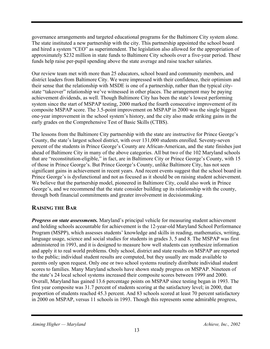governance arrangements and targeted educational programs for the Baltimore City system alone. The state instituted a new partnership with the city. This partnership appointed the school board and hired a system "CEO" as superintendent. The legislation also allowed for the appropriation of approximately \$232 million in state funds to Baltimore City schools over a five-year period. These funds help raise per-pupil spending above the state average and raise teacher salaries.

Our review team met with more than 25 educators, school board and community members, and district leaders from Baltimore City. We were impressed with their confidence, their optimism and their sense that the relationship with MSDE is one of a partnership, rather than the typical citystate "takeover" relationship we've witnessed in other places. The arrangement may be paying achievement dividends, as well. Though Baltimore City has been the state's lowest performing system since the start of MSPAP testing, 2000 marked the fourth consecutive improvement of its composite MSPAP score. The 3.5-point improvement on MSPAP in 2000 was the single biggest one-year improvement in the school system's history, and the city also made striking gains in the early grades on the Comprehensive Test of Basic Skills (CTBS).

The lessons from the Baltimore City partnership with the state are instructive for Prince George's County, the state's largest school district, with over 131,000 students enrolled. Seventy-seven percent of the students in Prince George's County are African-American, and the state finishes just ahead of Baltimore City in many of the above categories. All but two of the 102 Maryland schools that are "reconstitution-eligible," in fact, are in Baltimore City or Prince George's County, with 15 of those in Prince George's. But Prince George's County, unlike Baltimore City, has not seen significant gains in achievement in recent years. And recent events suggest that the school board in Prince George's is dysfunctional and not as focused as it should be on raising student achievement. We believe that the partnership model, pioneered in Baltimore City, could also work in Prince George's, and we recommend that the state consider building up its relationship with the county, through both financial commitments and greater involvement in decisionmaking.

#### **RAISING THE BAR**

*Progress on state assessments.* Maryland's principal vehicle for measuring student achievement and holding schools accountable for achievement is the 12-year-old Maryland School Performance Program (MSPP), which assesses students' knowledge and skills in reading, mathematics, writing, language usage, science and social studies for students in grades 3, 5 and 8. The MSPAP was first administered in 1993, and it is designed to measure how well students can synthesize information and apply it to real world problems. Only school, district and state results on MSPAP are reported to the public; individual student results are computed, but they usually are made available to parents only upon request. Only one or two school systems routinely distribute individual student scores to families. Many Maryland schools have shown steady progress on MSPAP. Nineteen of the state's 24 local school systems increased their composite scores between 1999 and 2000. Overall, Maryland has gained 13.6 percentage points on MSPAP since testing began in 1993. The first year composite was 31.7 percent of students scoring at the satisfactory level; in 2000, that proportion of students reached 45.3 percent. And 83 schools scored at least 70 percent satisfactory in 2000 on MSPAP, versus 11 schools in 1993. Though this represents some admirable progress,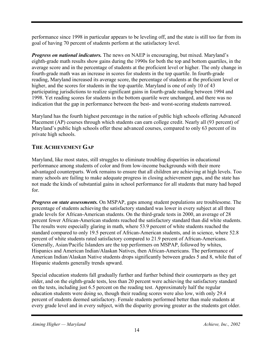performance since 1998 in particular appears to be leveling off, and the state is still too far from its goal of having 70 percent of students perform at the satisfactory level.

*Progress on national indicators.* The news on NAEP is encouraging, but mixed. Maryland's eighth-grade math results show gains during the 1990s for both the top and bottom quartiles, in the average score and in the percentage of students at the proficient level or higher. The only change in fourth-grade math was an increase in scores for students in the top quartile. In fourth-grade reading, Maryland increased its average score, the percentage of students at the proficient level or higher, and the scores for students in the top quartile. Maryland is one of only 10 of 43 participating jurisdictions to realize significant gains in fourth-grade reading between 1994 and 1998. Yet reading scores for students in the bottom quartile were unchanged, and there was no indication that the gap in performance between the best- and worst-scoring students narrowed.

Maryland has the fourth highest percentage in the nation of public high schools offering Advanced Placement (AP) courses through which students can earn college credit. Nearly all (93 percent) of Maryland's public high schools offer these advanced courses, compared to only 63 percent of its private high schools.

#### **THE ACHIEVEMENT GAP**

Maryland, like most states, still struggles to eliminate troubling disparities in educational performance among students of color and from low-income backgrounds with their more advantaged counterparts. Work remains to ensure that all children are achieving at high levels. Too many schools are failing to make adequate progress in closing achievement gaps, and the state has not made the kinds of substantial gains in school performance for all students that many had hoped for.

*Progress on state assessments.* On MSPAP, gaps among student populations are troublesome. The percentage of students achieving the satisfactory standard was lower in every subject at all three grade levels for African-American students. On the third-grade tests in 2000, an average of 28 percent fewer African-American students reached the satisfactory standard than did white students. The results were especially glaring in math, where 53.9 percent of white students reached the standard compared to only 19.5 percent of African-American students, and in science, where 52.8 percent of white students rated satisfactory compared to 21.9 percent of African-Americans. Generally, Asian/Pacific Islanders are the top performers on MSPAP, followed by whites, Hispanics and American Indian/Alaskan Natives, then African-Americans. The performance of American Indian/Alaskan Native students drops significantly between grades 5 and 8, while that of Hispanic students generally trends upward.

Special education students fall gradually further and further behind their counterparts as they get older, and on the eighth-grade tests, less than 20 percent were achieving the satisfactory standard on the tests, including just 6.5 percent on the reading test. Approximately half the regular education students were doing so, though their reading scores were also low, with only 29.4 percent of students deemed satisfactory. Female students performed better than male students at every grade level and in every subject, with the disparity growing greater as the students got older.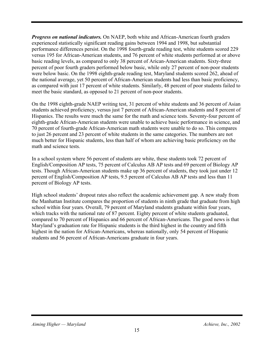*Progress on national indicators.* On NAEP, both white and African-American fourth graders experienced statistically significant reading gains between 1994 and 1998, but substantial performance differences persist. On the 1998 fourth-grade reading test, white students scored 229 versus 195 for African-American students, and 76 percent of white students performed at or above basic reading levels, as compared to only 38 percent of Arican-American students. Sixty-three percent of poor fourth graders performed below basic, while only 27 percent of non-poor students were below basic. On the 1998 eighth-grade reading test, Maryland students scored 262, ahead of the national average, yet 50 percent of African-American students had less than basic proficiency, as compared with just 17 percent of white students. Similarly, 48 percent of poor students failed to meet the basic standard, as opposed to 21 percent of non-poor students.

On the 1998 eighth-grade NAEP writing test, 31 percent of white students and 36 percent of Asian students achieved proficiency, versus just 7 percent of African-American students and 8 percent of Hispanics. The results were much the same for the math and science tests. Seventy-four percent of eighth-grade African-American students were unable to achieve basic performance in science, and 70 percent of fourth-grade African-American math students were unable to do so. This compares to just 26 percent and 23 percent of white students in the same categories. The numbers are not much better for Hispanic students, less than half of whom are achieving basic proficiency on the math and science tests.

In a school system where 56 percent of students are white, these students took 72 percent of English/Composition AP tests, 75 percent of Calculus AB AP tests and 69 percent of Biology AP tests. Though African-American students make up 36 percent of students, they took just under 12 percent of English/Composition AP tests, 9.5 percent of Calculus AB AP tests and less than 11 percent of Biology AP tests.

High school students' dropout rates also reflect the academic achievement gap. A new study from the Manhattan Institute compares the proportion of students in ninth grade that graduate from high school within four years. Overall, 79 percent of Maryland students graduate within four years, which tracks with the national rate of 87 percent. Eighty percent of white students graduated, compared to 70 percent of Hispanics and 66 percent of African-Americans. The good news is that Maryland's graduation rate for Hispanic students is the third highest in the country and fifth highest in the nation for African-Americans, whereas nationally, only 54 percent of Hispanic students and 56 percent of African-Americans graduate in four years.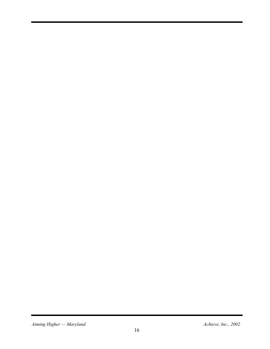*Aiming Higher — Maryland*  $A$ *chieve, Inc., 2002*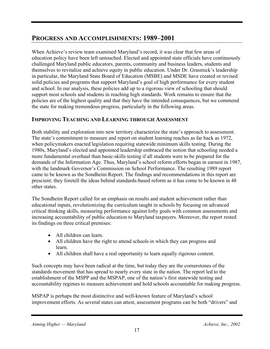# **PROGRESS AND ACCOMPLISHMENTS: 1989–2001**

When Achieve's review team examined Maryland's record, it was clear that few areas of education policy have been left untouched. Elected and appointed state officials have continuously challenged Maryland public educators, parents, community and business leaders, students and themselves to revitalize and achieve equity in public education. Under Dr. Grasmick's leadership in particular, the Maryland State Board of Education (MSBE) and MSDE have created or revised solid policies and programs that support Maryland's goal of high performance for every student and school. In our analysis, these policies add up to a rigorous view of schooling that should support most schools and students in reaching high standards. Work remains to ensure that the policies are of the highest quality and that they have the intended consequences, but we commend the state for making tremendous progress, particularly in the following areas.

#### **IMPROVING TEACHING AND LEARNING THROUGH ASSESSMENT**

Both stability and exploration into new territory characterize the state's approach to assessment. The state's commitment to measure and report on student learning reaches as far back as 1972, when policymakers enacted legislation requiring statewide minimum skills testing. During the 1980s, Maryland's elected and appointed leadership embraced the notion that schooling needed a more fundamental overhaul than basic-skills testing if all students were to be prepared for the demands of the Information Age. Thus, Maryland's school reform efforts began in earnest in 1987, with the landmark Governor's Commission on School Performance. The resulting 1989 report came to be known as the Sondheim Report. The findings and recommendations in this report are prescient; they foretell the ideas behind standards-based reform as it has come to be known in 48 other states.

The Sondheim Report called for an emphasis on results and student achievement rather than educational inputs, revolutionizing the curriculum taught in schools by focusing on advanced critical thinking skills, measuring performance against lofty goals with common assessments and increasing accountability of public education to Maryland taxpayers. Moreover, the report rested its findings on three critical premises:

- All children can learn.
- All children have the right to attend schools in which they can progress and learn.
- All children shall have a real opportunity to learn equally rigorous content.

Such concepts may have been radical at the time, but today they are the cornerstones of the standards movement that has spread to nearly every state in the nation. The report led to the establishment of the MSPP and the MSPAP, one of the nation's first statewide testing and accountability regimes to measure achievement and hold schools accountable for making progress.

MSPAP is perhaps the most distinctive and well-known feature of Maryland's school improvement efforts. As several states can attest, assessment programs can be both "drivers" and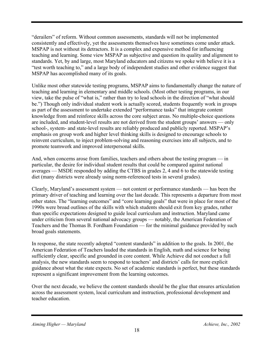"derailers" of reform. Without common assessments, standards will not be implemented consistently and effectively, yet the assessments themselves have sometimes come under attack. MSPAP is not without its detractors. It is a complex and expensive method for influencing teaching and learning. Some view MSPAP as subjective and question its quality and alignment to standards. Yet, by and large, most Maryland educators and citizens we spoke with believe it is a "test worth teaching to," and a large body of independent studies and other evidence suggest that MSPAP has accomplished many of its goals.

Unlike most other statewide testing programs, MSPAP aims to fundamentally change the nature of teaching and learning in elementary and middle schools. (Most other testing programs, in our view, take the pulse of "what is," rather than try to lead schools in the direction of "what should be.") Though only individual student work is actually scored, students frequently work in groups as part of the assessment to undertake extended "performance tasks" that integrate content knowledge from and reinforce skills across the core subject areas. No multiple-choice questions are included, and student-level results are not derived from the student groups' answers — only school-, system- and state-level results are reliably produced and publicly reported. MSPAP's emphasis on group work and higher level thinking skills is designed to encourage schools to reinvent curriculum, to inject problem-solving and reasoning exercises into all subjects, and to promote teamwork and improved interpersonal skills.

And, when concerns arose from families, teachers and others about the testing program — in particular, the desire for individual student results that could be compared against national averages — MSDE responded by adding the CTBS in grades 2, 4 and 6 to the statewide testing diet (many districts were already using norm-referenced tests in several grades).

Clearly, Maryland's assessment system — not content or performance standards — has been the primary driver of teaching and learning over the last decade. This represents a departure from most other states. The "learning outcomes" and "core learning goals" that were in place for most of the 1990s were broad outlines of the skills with which students should exit from key grades, rather than specific expectations designed to guide local curriculum and instruction. Maryland came under criticism from several national advocacy groups — notably, the American Federation of Teachers and the Thomas B. Fordham Foundation — for the minimal guidance provided by such broad goals statements.

In response, the state recently adopted "content standards" in addition to the goals. In 2001, the American Federation of Teachers lauded the standards in English, math and science for being sufficiently clear, specific and grounded in core content. While Achieve did not conduct a full analysis, the new standards seem to respond to teachers' and districts' calls for more explicit guidance about what the state expects. No set of academic standards is perfect, but these standards represent a significant improvement from the learning outcomes.

Over the next decade, we believe the content standards should be the glue that ensures articulation across the assessment system, local curriculum and instruction, professional development and teacher education.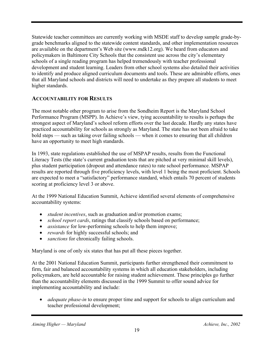Statewide teacher committees are currently working with MSDE staff to develop sample grade-bygrade benchmarks aligned to the statewide content standards, and other implementation resources are available on the department's Web site (www.mdk12.org). We heard from educators and policymakers in Baltimore City Schools that the consistent use across the city's elementary schools of a single reading program has helped tremendously with teacher professional development and student learning. Leaders from other school systems also detailed their activities to identify and produce aligned curriculum documents and tools. These are admirable efforts, ones that all Maryland schools and districts will need to undertake as they prepare all students to meet higher standards.

#### **ACCOUNTABILITY FOR RESULTS**

The most notable other program to arise from the Sondheim Report is the Maryland School Performance Program (MSPP). In Achieve's view, tying accountability to results is perhaps the strongest aspect of Maryland's school reform efforts over the last decade. Hardly any states have practiced accountability for schools as strongly as Maryland. The state has not been afraid to take bold steps — such as taking over failing schools — when it comes to ensuring that all children have an opportunity to meet high standards.

In 1993, state regulations established the use of MSPAP results, results from the Functional Literacy Tests (the state's current graduation tests that are pitched at very minimal skill levels), plus student participation (dropout and attendance rates) to rate school performance. MSPAP results are reported through five proficiency levels, with level 1 being the most proficient. Schools are expected to meet a "satisfactory" performance standard, which entails 70 percent of students scoring at proficiency level 3 or above.

At the 1999 National Education Summit, Achieve identified several elements of comprehensive accountability systems:

- *student incentives*, such as graduation and/or promotion exams;
- *school report cards*, ratings that classify schools based on performance;
- *assistance* for low-performing schools to help them improve;
- *rewards* for highly successful schools; and
- *sanctions* for chronically failing schools.

Maryland is one of only six states that has put all these pieces together.

At the 2001 National Education Summit, participants further strengthened their commitment to firm, fair and balanced accountability systems in which all education stakeholders, including policymakers, are held accountable for raising student achievement. These principles go further than the accountability elements discussed in the 1999 Summit to offer sound advice for implementing accountability and include:

• *adequate phase-in* to ensure proper time and support for schools to align curriculum and teacher professional development;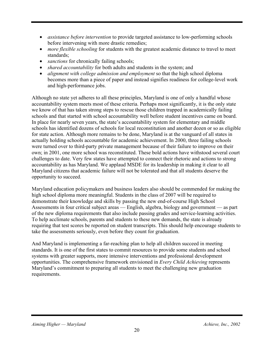- *assistance before intervention* to provide targeted assistance to low-performing schools before intervening with more drastic remedies;
- *more flexible schooling* for students with the greatest academic distance to travel to meet standards;
- *sanctions* for chronically failing schools;
- *shared accountability* for both adults and students in the system; and
- *alignment with college admission and employment* so that the high school diploma becomes more than a piece of paper and instead signifies readiness for college-level work and high-performance jobs.

Although no state yet adheres to all these principles, Maryland is one of only a handful whose accountability system meets most of these criteria. Perhaps most significantly, it is the only state we know of that has taken strong steps to rescue those children trapped in academically failing schools and that started with school accountability well before student incentives came on board. In place for nearly seven years, the state's accountability system for elementary and middle schools has identified dozens of schools for local reconstitution and another dozen or so as eligible for state action. Although more remains to be done, Maryland is at the vanguard of all states in actually holding schools accountable for academic achievement. In 2000, three failing schools were turned over to third-party private management because of their failure to improve on their own; in 2001, one more school was reconstituted. These bold actions have withstood several court challenges to date. Very few states have attempted to connect their rhetoric and actions to strong accountability as has Maryland. We applaud MSDE for its leadership in making it clear to all Maryland citizens that academic failure will not be tolerated and that all students deserve the opportunity to succeed.

Maryland education policymakers and business leaders also should be commended for making the high school diploma more meaningful. Students in the class of 2007 will be required to demonstrate their knowledge and skills by passing the new end-of-course High School Assessments in four critical subject areas — English, algebra, biology and government — as part of the new diploma requirements that also include passing grades and service-learning activities. To help acclimate schools, parents and students to these new demands, the state is already requiring that test scores be reported on student transcripts. This should help encourage students to take the assessments seriously, even before they count for graduation.

And Maryland is implementing a far-reaching plan to help all children succeed in meeting standards. It is one of the first states to commit resources to provide some students and school systems with greater supports, more intensive interventions and professional development opportunities. The comprehensive framework envisioned in *Every Child Achieving* represents Maryland's commitment to preparing all students to meet the challenging new graduation requirements.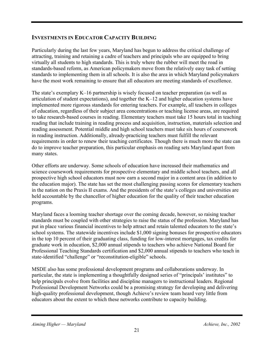#### **INVESTMENTS IN EDUCATOR CAPACITY BUILDING**

Particularly during the last few years, Maryland has begun to address the critical challenge of attracting, training and retaining a cadre of teachers and principals who are equipped to bring virtually all students to high standards. This is truly where the rubber will meet the road in standards-based reform, as American policymakers move from the relatively easy task of setting standards to implementing them in all schools. It is also the area in which Maryland policymakers have the most work remaining to ensure that all educators are meeting standards of excellence.

The state's exemplary K–16 partnership is wisely focused on teacher preparation (as well as articulation of student expectations), and together the K–12 and higher education systems have implemented more rigorous standards for entering teachers. For example, all teachers in colleges of education, regardless of their subject area concentrations or teaching license areas, are required to take research-based courses in reading. Elementary teachers must take 15 hours total in teaching reading that include training in reading process and acquisition, instruction, materials selection and reading assessment. Potential middle and high school teachers must take six hours of coursework in reading instruction. Additionally, already-practicing teachers must fulfill the relevant requirements in order to renew their teaching certificates. Though there is much more the state can do to improve teacher preparation, this particular emphasis on reading sets Maryland apart from many states.

Other efforts are underway. Some schools of education have increased their mathematics and science coursework requirements for prospective elementary and middle school teachers, and all prospective high school educators must now earn a second major in a content area (in addition to the education major). The state has set the most challenging passing scores for elementary teachers in the nation on the Praxis II exams. And the presidents of the state's colleges and universities are held accountable by the chancellor of higher education for the quality of their teacher education programs.

Maryland faces a looming teacher shortage over the coming decade, however, so raising teacher standards must be coupled with other strategies to raise the status of the profession. Maryland has put in place various financial incentives to help attract and retain talented educators to the state's school systems. The statewide incentives include \$1,000 signing bonuses for prospective educators in the top 10 percent of their graduating class, funding for low-interest mortgages, tax credits for graduate work in education, \$2,000 annual stipends to teachers who achieve National Board for Professional Teaching Standards certification and \$2,000 annual stipends to teachers who teach in state-identified "challenge" or "reconstitution-eligible" schools.

MSDE also has some professional development programs and collaborations underway. In particular, the state is implementing a thoughtfully designed series of "principals' institutes" to help principals evolve from facilities and discipline managers to instructional leaders. Regional Professional Development Networks could be a promising strategy for developing and delivering high-quality professional development, though Achieve's review team heard very little from educators about the extent to which these networks contribute to capacity building.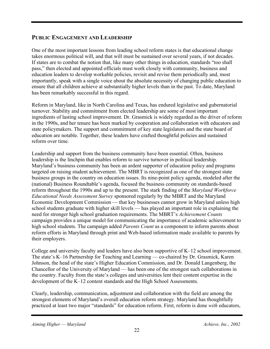#### **PUBLIC ENGAGEMENT AND LEADERSHIP**

One of the most important lessons from leading school reform states is that educational change takes enormous political will, and that will must be sustained over several years, if not decades. If states are to combat the notion that, like many other things in education, standards "too shall pass," then elected and appointed officials must work closely with community, business and education leaders to develop workable policies, revisit and revise them periodically and, most importantly, speak with a single voice about the absolute necessity of changing public education to ensure that all children achieve at substantially higher levels than in the past. To date, Maryland has been remarkably successful in this regard.

Reform in Maryland, like in North Carolina and Texas, has endured legislative and gubernatorial turnover. Stability and commitment from elected leadership are some of most important ingredients of lasting school improvement. Dr. Grasmick is widely regarded as the driver of reform in the 1990s, and her tenure has been marked by cooperation and collaboration with educators and state policymakers. The support and commitment of key state legislators and the state board of education are notable. Together, these leaders have crafted thoughtful policies and sustained reform over time.

Leadership and support from the business community have been essential. Often, business leadership is the linchpin that enables reform to survive turnover in political leadership. Maryland's business community has been an ardent supporter of education policy and programs targeted on raising student achievement. The MBRT is recognized as one of the strongest state business groups in the country on education issues. Its nine-point policy agenda, modeled after the (national) Business Roundtable's agenda, focused the business community on standards-based reform throughout the 1990s and up to the present. The stark finding of the *Maryland Workforce Educational Needs Assessment Survey* sponsored regularly by the MBRT and the Maryland Economic Development Commission — that key businesses cannot grow in Maryland unless high school students graduate with higher skill levels — has played an important role in explaining the need for stronger high school graduation requirements. The MBRT's *Achievement Counts* campaign provides a unique model for communicating the importance of academic achievement to high school students. The campaign added *Parents Count* as a component to inform parents about reform efforts in Maryland through print and Web-based information made available to parents by their employers.

College and university faculty and leaders have also been supportive of K–12 school improvement. The state's K–16 Partnership for Teaching and Learning — co-chaired by Dr. Grasmick, Karen Johnson, the head of the state's Higher Education Commission, and Dr. Donald Langenberg, the Chancellor of the University of Maryland — has been one of the strongest such collaborations in the country. Faculty from the state's colleges and universities lent their content expertise in the development of the K–12 content standards and the High School Assessments.

Clearly, leadership, communication, adjustment and collaboration with the field are among the strongest elements of Maryland's overall education reform strategy. Maryland has thoughtfully practiced at least two major "standards" for education reform. First, reform is done *with* educators,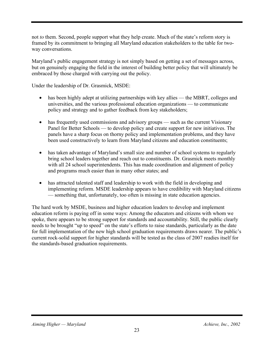not *to* them. Second, people support what they help create. Much of the state's reform story is framed by its commitment to bringing all Maryland education stakeholders to the table for twoway conversations.

Maryland's public engagement strategy is not simply based on getting a set of messages across, but on genuinely engaging the field in the interest of building better policy that will ultimately be embraced by those charged with carrying out the policy.

Under the leadership of Dr. Grasmick, MSDE:

- has been highly adept at utilizing partnerships with key allies the MBRT, colleges and universities, and the various professional education organizations — to communicate policy and strategy and to gather feedback from key stakeholders;
- has frequently used commissions and advisory groups such as the current Visionary Panel for Better Schools — to develop policy and create support for new initiatives. The panels have a sharp focus on thorny policy and implementation problems, and they have been used constructively to learn from Maryland citizens and education constituents;
- has taken advantage of Maryland's small size and number of school systems to regularly bring school leaders together and reach out to constituents. Dr. Grasmick meets monthly with all 24 school superintendents. This has made coordination and alignment of policy and programs much easier than in many other states; and
- has attracted talented staff and leadership to work with the field in developing and implementing reform. MSDE leadership appears to have credibility with Maryland citizens — something that, unfortunately, too often is missing in state education agencies.

The hard work by MSDE, business and higher education leaders to develop and implement education reform is paying off in some ways: Among the educators and citizens with whom we spoke, there appears to be strong support for standards and accountability. Still, the public clearly needs to be brought "up to speed" on the state's efforts to raise standards, particularly as the date for full implementation of the new high school graduation requirements draws nearer. The public's current rock-solid support for higher standards will be tested as the class of 2007 readies itself for the standards-based graduation requirements.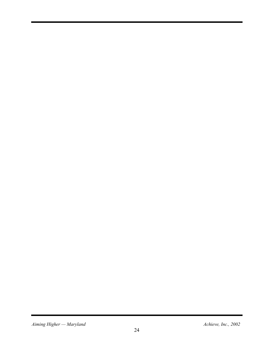*Aiming Higher — Maryland*  $A$ *chieve, Inc., 2002*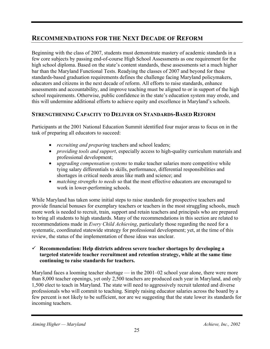# **RECOMMENDATIONS FOR THE NEXT DECADE OF REFORM**

Beginning with the class of 2007, students must demonstrate mastery of academic standards in a few core subjects by passing end-of-course High School Assessments as one requirement for the high school diploma. Based on the state's content standards, these assessments set a much higher bar than the Maryland Functional Tests. Readying the classes of 2007 and beyond for these standards-based graduation requirements defines the challenge facing Maryland policymakers, educators and citizens in the next decade of reform. All efforts to raise standards, enhance assessments and accountability, and improve teaching must be aligned to or in support of the high school requirements. Otherwise, public confidence in the state's education system may erode, and this will undermine additional efforts to achieve equity and excellence in Maryland's schools.

### **STRENGTHENING CAPACITY TO DELIVER ON STANDARDS-BASED REFORM**

Participants at the 2001 National Education Summit identified four major areas to focus on in the task of preparing all educators to succeed:

- *recruiting and preparing* teachers and school leaders;
- *providing tools and support*, especially access to high-quality curriculum materials and professional development;
- *upgrading compensation systems* to make teacher salaries more competitive while tying salary differentials to skills, performance, differential responsibilities and shortages in critical needs areas like math and science; and
- *matching strengths to needs* so that the most effective educators are encouraged to work in lower-performing schools.

While Maryland has taken some initial steps to raise standards for prospective teachers and provide financial bonuses for exemplary teachers or teachers in the most struggling schools, much more work is needed to recruit, train, support and retain teachers and principals who are prepared to bring all students to high standards. Many of the recommendations in this section are related to recommendations made in *Every Child Achieving*, particularly those regarding the need for a systematic, coordinated statewide strategy for professional development; yet, at the time of this review, the status of the implementation of those ideas was unclear.

#### 9 **Recommendation: Help districts address severe teacher shortages by developing a targeted statewide teacher recruitment and retention strategy, while at the same time continuing to raise standards for teachers.**

Maryland faces a looming teacher shortage — in the 2001–02 school year alone, there were more than 8,000 teacher openings, yet only 2,500 teachers are produced each year in Maryland, and only 1,500 elect to teach in Maryland. The state will need to aggressively recruit talented and diverse professionals who will commit to teaching. Simply raising educator salaries across the board by a few percent is not likely to be sufficient, nor are we suggesting that the state lower its standards for incoming teachers.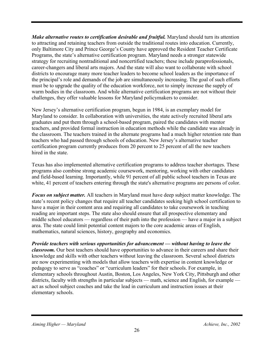*Make alternative routes to certification desirable and fruitful.* Maryland should turn its attention to attracting and retaining teachers from outside the traditional routes into education. Currently, only Baltimore City and Prince George's County have approved the Resident Teacher Certificate Programs, the state's alternative certification program. Maryland needs a stronger statewide strategy for recruiting nontraditional and noncertified teachers; these include paraprofessionals, career-changers and liberal arts majors. And the state will also want to collaborate with school districts to encourage many more teacher leaders to become school leaders as the importance of the principal's role and demands of the job are simultaneously increasing. The goal of such efforts must be to upgrade the quality of the education workforce, not to simply increase the supply of warm bodies in the classroom. And while alternative certification programs are not without their challenges, they offer valuable lessons for Maryland policymakers to consider.

New Jersey's alternative certification program, begun in 1984, is an exemplary model for Maryland to consider. In collaboration with universities, the state actively recruited liberal arts graduates and put them through a school-based program, paired the candidates with mentor teachers, and provided formal instruction in education methods while the candidate was already in the classroom. The teachers trained in the alternate programs had a much higher retention rate than teachers who had passed through schools of education. New Jersey's alternative teacher certification program currently produces from 20 percent to 25 percent of all the new teachers hired in the state.

Texas has also implemented alternative certification programs to address teacher shortages. These programs also combine strong academic coursework, mentoring, working with other candidates and field-based learning. Importantly, while 91 percent of all public school teachers in Texas are white, 41 percent of teachers entering through the state's alternative programs are persons of color.

*Focus on subject matter.* All teachers in Maryland must have deep subject matter knowledge. The state's recent policy changes that require all teacher candidates seeking high school certification to have a major in their content area and requiring all candidates to take coursework in teaching reading are important steps. The state also should ensure that all prospective elementary and middle school educators — regardless of their path into the profession — have a major in a subject area. The state could limit potential content majors to the core academic areas of English, mathematics, natural sciences, history, geography and economics.

*Provide teachers with serious opportunities for advancement — without having to leave the classroom.* Our best teachers should have opportunities to advance in their careers and share their knowledge and skills with other teachers without leaving the classroom. Several school districts are now experimenting with models that allow teachers with expertise in content knowledge or pedagogy to serve as "coaches" or "curriculum leaders" for their schools. For example, in elementary schools throughout Austin, Boston, Los Angeles, New York City, Pittsburgh and other districts, faculty with strengths in particular subjects — math, science and English, for example act as school subject coaches and take the lead in curriculum and instruction issues at their elementary schools.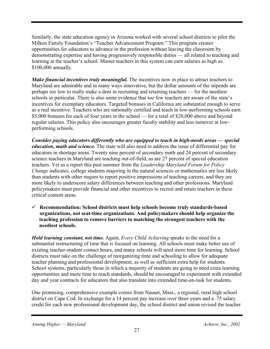Similarly, the state education agency in Arizona worked with several school districts to pilot the Milken Family Foundation's "Teacher Advancement Program." This program creates opportunities for educators to advance in the profession without leaving the classroom by demonstrating expertise and having progressively responsible duties — all related to teaching and learning at the teacher's school. Master teachers in this system can earn salaries as high as \$100,000 annually.

*Make financial incentives truly meaningful.* The incentives now in place to attract teachers to Maryland are admirable and in many ways innovative, but the dollar amounts of the stipends are perhaps too low to really make a dent in recruiting and retaining teachers — for the neediest schools in particular. There is also some evidence that too few teachers are aware of the state's incentives for exemplary educators. Targeted bonuses in California are substantial enough to serve as a real incentive: Teachers who are nationally certified and teach in low-performing schools earn \$5,000 bonuses for each of four years in the school — for a total of \$20,000 above and beyond regular salaries. This policy also encourages greater faculty stability and less turnover at lowperforming schools.

*Consider paying educators differently who are equipped to teach in high-needs areas — special education, math and science.* The state will also need to address the issue of differential pay for educators in shortage areas. Twenty nine percent of secondary math and 24 percent of secondary science teachers in Maryland are teaching out-of-field, as are 27 percent of special education teachers. Yet as a report this past summer from the *Leadership Maryland Forum for Policy Change* indicates, college students majoring in the natural sciences or mathematics are less likely than students with other majors to report positive impressions of teaching careers, and they are more likely to underscore salary differences between teaching and other professions. Maryland policymakers must provide financial and other incentives to recruit and retain teachers in these critical content areas.

9 **Recommendation: School districts must help schools become truly standards-based organizations, not seat-time organizations. And policymakers should help organize the teaching profession to remove barriers to matching the strongest teachers with the neediest schools.**

*Hold learning constant, not time.* Again, *Every Child Achieving* speaks to the need for a substantial restructuring of time that is focused on learning. All schools must make better use of existing teacher-student contact hours, and many schools will need more time for learning. School districts must take on the challenge of reorganizing time and schooling to allow for adequate teacher planning and professional development, as well as sufficient extra help for students. School systems, particularly those in which a majority of students are going to need extra learning opportunities and more time to reach standards, should be encouraged to experiment with extended day and year contracts for educators that also translate into extended time-on-task for students.

One promising, comprehensive example comes from Nauset, Mass., a regional, rural high school district on Cape Cod. In exchange for a 14 percent pay increase over three years and a .75 salary credit for each new professional development day, the school district and union revised the teacher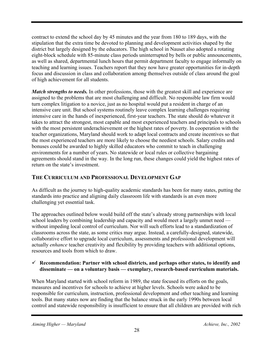contract to extend the school day by 45 minutes and the year from 180 to 189 days, with the stipulation that the extra time be devoted to planning and development activities shaped by the district but largely designed by the educators. The high school in Nauset also adopted a rotating eight-block schedule with 85-minute class periods uninterrupted by bells or public announcements, as well as shared, departmental lunch hours that permit department faculty to engage informally on teaching and learning issues. Teachers report that they now have greater opportunities for in-depth focus and discussion in class and collaboration among themselves outside of class around the goal of high achievement for all students.

*Match strengths to needs.* In other professions, those with the greatest skill and experience are assigned to the problems that are most challenging and difficult. No responsible law firm would turn complex litigation to a novice, just as no hospital would put a resident in charge of an intensive care unit. But school systems routinely leave complex learning challenges requiring intensive care in the hands of inexperienced, first-year teachers. The state should do whatever it takes to attract the strongest, most capable and most experienced teachers and principals to schools with the most persistent underachievement or the highest rates of poverty. In cooperation with the teacher organizations, Maryland should work to adapt local contracts and create incentives so that the most experienced teachers are more likely to choose the neediest schools. Salary credits and bonuses could be awarded to highly skilled educators who commit to teach in challenging environments for a number of years. No statewide or local rules or collective bargaining agreements should stand in the way. In the long run, these changes could yield the highest rates of return on the state's investment.

#### **THE CURRICULUM AND PROFESSIONAL DEVELOPMENT GAP**

As difficult as the journey to high-quality academic standards has been for many states, putting the standards into practice and aligning daily classroom life with standards is an even more challenging yet essential task.

The approaches outlined below would build off the state's already strong partnerships with local school leaders by combining leadership and capacity and would meet a largely unmet need without impeding local control of curriculum. Nor will such efforts lead to a standardization of classrooms across the state, as some critics may argue. Instead, a carefully-designed, statewide, collaborative effort to upgrade local curriculum, assessments and professional development will actually *enhance* teacher creativity and flexibility by providing teachers with additional options, resources and tools from which to draw.

#### $\checkmark$  Recommendation: Partner with school districts, and perhaps other states, to identify and **disseminate — on a voluntary basis — exemplary, research-based curriculum materials.**

When Maryland started with school reform in 1989, the state focused its efforts on the goals, measures and incentives for schools to achieve at higher levels. Schools were asked to be responsible for curriculum, instruction, professional development and other teaching and learning tools. But many states now are finding that the balance struck in the early 1990s between local control and statewide responsibility is insufficient to ensure that all children are provided with rich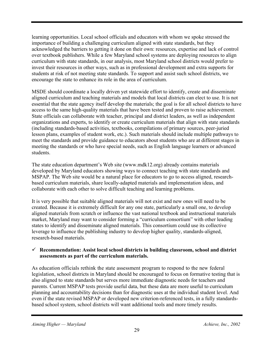learning opportunities. Local school officials and educators with whom we spoke stressed the importance of building a challenging curriculum aligned with state standards, but they acknowledged the barriers to getting it done on their own: resources, expertise and lack of control over textbook publishers. While a few Maryland school systems are deploying resources to align curriculum with state standards, in our analysis, most Maryland school districts would prefer to invest their resources in other ways, such as in professional development and extra supports for students at risk of not meeting state standards. To support and assist such school districts, we encourage the state to enhance its role in the area of curriculum.

MSDE should coordinate a locally driven yet statewide effort to identify, create and disseminate aligned curriculum and teaching materials and models that local districts can elect to use. It is not essential that the state agency itself develop the materials; the goal is for all school districts to have access to the same high-quality materials that have been tested and proven to raise achievement. State officials can collaborate with teacher, principal and district leaders, as well as independent organizations and experts, to identify or create curriculum materials that align with state standards (including standards-based activities, textbooks, compilations of primary sources, peer-juried lesson plans, examples of student work, etc.). Such materials should include multiple pathways to meet the standards and provide guidance to educators about students who are at different stages in meeting the standards or who have special needs, such as English language learners or advanced students.

The state education department's Web site (www.mdk12.org) already contains materials developed by Maryland educators showing ways to connect teaching with state standards and MSPAP. The Web site would be a natural place for educators to go to access aligned, researchbased curriculum materials, share locally-adapted materials and implementation ideas, and collaborate with each other to solve difficult teaching and learning problems.

It is very possible that suitable aligned materials will not exist and new ones will need to be created. Because it is extremely difficult for any one state, particularly a small one, to develop aligned materials from scratch or influence the vast national textbook and instructional materials market, Maryland may want to consider forming a "curriculum consortium" with other leading states to identify and disseminate aligned materials. This consortium could use its collective leverage to influence the publishing industry to develop higher quality, standards-aligned, research-based materials.

#### 9 **Recommendation: Assist local school districts in building classroom, school and district assessments as part of the curriculum materials.**

As education officials rethink the state assessment program to respond to the new federal legislation, school districts in Maryland should be encouraged to focus on formative testing that is also aligned to state standards but serves more immediate diagnostic needs for teachers and parents. Current MSPAP tests provide useful data, but these data are more useful to curriculum planning and accountability decisions than for diagnostic uses at the individual student level. And even if the state revised MSPAP or developed new criterion-referenced tests, in a fully standardsbased school system, school districts will want additional tools and more timely results.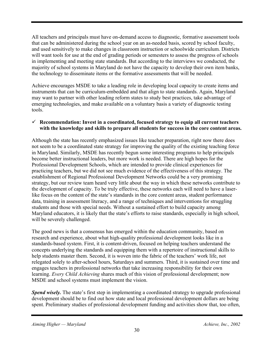All teachers and principals must have on-demand access to diagnostic, formative assessment tools that can be administered during the school year on an as-needed basis, scored by school faculty, and used sensitively to make changes in classroom instruction or schoolwide curriculum. Districts will want tools for use at the end of grading periods or semesters to assess the progress of schools in implementing and meeting state standards. But according to the interviews we conducted, the majority of school systems in Maryland do not have the capacity to develop their own item banks, the technology to disseminate items or the formative assessments that will be needed.

Achieve encourages MSDE to take a leading role in developing local capacity to create items and instruments that can be curriculum-embedded and that align to state standards. Again, Maryland may want to partner with other leading reform states to study best practices, take advantage of emerging technologies, and make available on a voluntary basis a variety of diagnostic testing tools.

#### 9 **Recommendation: Invest in a coordinated, focused strategy to equip all current teachers with the knowledge and skills to prepare all students for success in the core content areas.**

Although the state has recently emphasized issues like teacher preparation, right now there does not seem to be a coordinated state strategy for improving the quality of the existing teaching force in Maryland. Similarly, MSDE has recently begun some interesting programs to help principals become better instructional leaders, but more work is needed. There are high hopes for the Professional Development Schools, which are intended to provide clinical experiences for practicing teachers, but we did not see much evidence of the effectiveness of this strategy. The establishment of Regional Professional Development Networks could be a very promising strategy, but our review team heard very little about the way in which these networks contribute to the development of capacity. To be truly effective, these networks each will need to have a laserlike focus on the content of the state's standards in the core content areas, student performance data, training in assessment literacy, and a range of techniques and interventions for struggling students and those with special needs. Without a sustained effort to build capacity among Maryland educators, it is likely that the state's efforts to raise standards, especially in high school, will be severely challenged.

The good news is that a consensus has emerged within the education community, based on research and experience, about what high-quality professional development looks like in a standards-based system. First, it is content-driven, focused on helping teachers understand the concepts underlying the standards and equipping them with a repertoire of instructional skills to help students master them. Second, it is woven into the fabric of the teachers' work life, not relegated solely to after-school hours, Saturdays and summers. Third, it is sustained over time and engages teachers in professional networks that take increasing responsibility for their own learning. *Every Child Achieving* shares much of this vision of professional development; now MSDE and school systems must implement the vision.

*Spend wisely.* The state's first step in implementing a coordinated strategy to upgrade professional development should be to find out how state and local professional development dollars are being spent. Preliminary studies of professional development funding and activities show that, too often,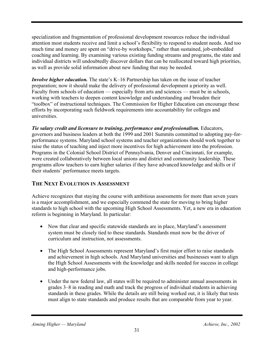specialization and fragmentation of professional development resources reduce the individual attention most students receive and limit a school's flexibility to respond to student needs. And too much time and money are spent on "drive-by workshops," rather than sustained, job-embedded coaching and learning. By examining various existing funding streams and programs, the state and individual districts will undoubtedly discover dollars that can be reallocated toward high priorities, as well as provide solid information about new funding that may be needed.

*Involve higher education.* The state's K–16 Partnership has taken on the issue of teacher preparation; now it should make the delivery of professional development a priority as well. Faculty from schools of education — especially from arts and sciences — must be in schools, working with teachers to deepen content knowledge and understanding and broaden their "toolbox" of instructional techniques. The Commission for Higher Education can encourage these efforts by incorporating such fieldwork requirements into accountability for colleges and universities.

*Tie salary credit and licensure to training, performance and professionalism.* Educators, governors and business leaders at both the 1999 and 2001 Summits committed to adopting pay-forperformance systems. Maryland school systems and teacher organizations should work together to raise the status of teaching and inject more incentives for high achievement into the profession. Programs in the Colonial School District of Pennsylvania, Denver and Cincinnati, for example, were created collaboratively between local unions and district and community leadership. These programs allow teachers to earn higher salaries if they have advanced knowledge and skills or if their students' performance meets targets.

#### **THE NEXT EVOLUTION IN ASSESSMENT**

Achieve recognizes that staying the course with ambitious assessments for more than seven years is a major accomplishment, and we especially commend the state for moving to bring higher standards to high school with the upcoming High School Assessments. Yet, a new era in education reform is beginning in Maryland. In particular:

- Now that clear and specific statewide standards are in place, Maryland's assessment system must be closely tied to these standards. Standards must now be the driver of curriculum and instruction, not assessments.
- The High School Assessments represent Maryland's first major effort to raise standards and achievement in high schools. And Maryland universities and businesses want to align the High School Assessments with the knowledge and skills needed for success in college and high-performance jobs.
- Under the new federal law, all states will be required to administer annual assessments in grades 3–8 in reading and math and track the progress of individual students in achieving standards in these grades. While the details are still being worked out, it is likely that tests must align to state standards and produce results that are comparable from year to year.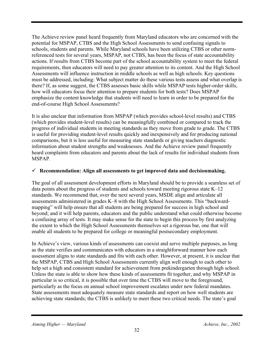The Achieve review panel heard frequently from Maryland educators who are concerned with the potential for MSPAP, CTBS and the High School Assessments to send confusing signals to schools, students and parents. While Maryland schools have been utilizing CTBS or other normreferenced tests for several years, MSPAP, not CTBS, has been the focus of state accountability actions. If results from CTBS become part of the school accountability system to meet the federal requirements, then educators will need to pay greater attention to its content. And the High School Assessments will influence instruction in middle schools as well as high schools. Key questions must be addressed, including: What subject matter do these various tests assess and what overlap is there? If, as some suggest, the CTBS assesses basic skills while MSPAP tests higher-order skills, how will educators focus their attention to prepare students for both tests? Does MSPAP emphasize the content knowledge that students will need to learn in order to be prepared for the end-of-course High School Assessments?

It is also unclear that information from MSPAP (which provides school-level results) and CTBS (which provides student-level results) can be meaningfully combined or compared to track the progress of individual students in meeting standards as they move from grade to grade. The CTBS is useful for providing student-level results quickly and inexpensively and for producing national comparisons, but it is less useful for measuring state standards or giving teachers diagnostic information about student strengths and weaknesses. And the Achieve review panel frequently heard complaints from educators and parents about the lack of results for individual students from MSPAP.

#### $\checkmark$  Recommendation: Align all assessments to get improved data and decisionmaking.

The goal of all assessment development efforts in Maryland should be to provide a seamless set of data points about the progress of students and schools toward meeting rigorous state K–12 standards. We recommend that, over the next several years, MSDE align and articulate all assessments administered in grades K–8 with the High School Assessments. This "backwardmapping" will help ensure that all students are being prepared for success in high school and beyond; and it will help parents, educators and the public understand what could otherwise become a confusing array of tests. It may make sense for the state to begin this process by first analyzing the extent to which the High School Assessments themselves set a rigorous bar, one that will enable all students to be prepared for college or meaningful postsecondary employment.

In Achieve's view, various kinds of assessments can coexist and serve multiple purposes, as long as the state verifies and communicates with educators in a straightforward manner how each assessment aligns to state standards and fits with each other. However, at present, it is unclear that the MSPAP, CTBS and High School Assessments currently align well enough to each other to help set a high and consistent standard for achievement from prekindergarten through high school. Unless the state is able to show how these kinds of assessments fit together, and why MSPAP in particular is so critical, it is possible that over time the CTBS will move to the foreground, particularly as the focus on annual school improvement escalates under new federal mandates. State assessments must adequately measure state standards and report on how well students are achieving state standards; the CTBS is unlikely to meet these two critical needs. The state's goal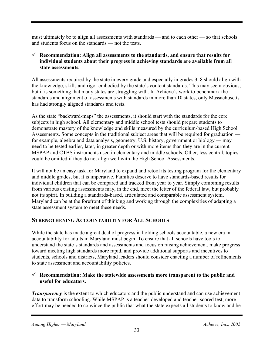must ultimately be to align all assessments with standards — and to each other — so that schools and students focus on the standards — not the tests.

#### $\checkmark$  Recommendation: Align all assessments to the standards, and ensure that results for **individual students about their progress in achieving standards are available from all state assessments.**

All assessments required by the state in every grade and especially in grades 3–8 should align with the knowledge, skills and rigor embodied by the state's content standards. This may seem obvious, but it is something that many states are struggling with. In Achieve's work to benchmark the standards and alignment of assessments with standards in more than 10 states, only Massachusetts has had strongly aligned standards and tests.

As the state "backward-maps" the assessments, it should start with the standards for the core subjects in high school. All elementary and middle school tests should prepare students to demonstrate mastery of the knowledge and skills measured by the curriculum-based High School Assessments. Some concepts in the traditional subject areas that will be required for graduation for example, algebra and data analysis, geometry, U.S. history, government or biology — may need to be tested earlier, later, in greater depth or with more items than they are in the current MSPAP and CTBS instruments used in elementary and middle schools. Other, less central, topics could be omitted if they do not align well with the High School Assessments.

It will not be an easy task for Maryland to expand and retool its testing program for the elementary and middle grades, but it is imperative. Families deserve to have standards-based results for individual children that can be compared and tracked from year to year. Simply combining results from various existing assessments may, in the end, meet the letter of the federal law, but probably not its spirit. In building a standards-based, articulated and comparable assessment system, Maryland can be at the forefront of thinking and working through the complexities of adapting a state assessment system to meet these needs.

#### **STRENGTHENING ACCOUNTABILITY FOR ALL SCHOOLS**

While the state has made a great deal of progress in holding schools accountable, a new era in accountability for adults in Maryland must begin. To ensure that all schools have tools to understand the state's standards and assessments and focus on raising achievement, make progress toward meeting high standards more rapid, and provide additional supports and incentives to students, schools and districts, Maryland leaders should consider enacting a number of refinements to state assessment and accountability policies.

#### $\checkmark$  Recommendation: Make the statewide assessments more transparent to the public and **useful for educators.**

*Transparency* is the extent to which educators and the public understand and can use achievement data to transform schooling. While MSPAP is a teacher-developed and teacher-scored test, more effort may be needed to convince the public that what the state expects all students to know and be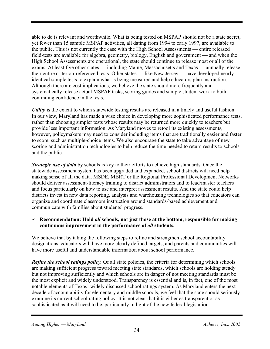able to do is relevant and worthwhile. What is being tested on MSPAP should not be a state secret, yet fewer than 15 sample MSPAP activities, all dating from 1994 to early 1997, are available to the public. This is not currently the case with the High School Assessments — entire released field-tests are available for algebra, geometry, biology, English and government — and when the High School Assessments are operational, the state should continue to release most or all of the exams. At least five other states — including Maine, Massachusetts and Texas — annually release their entire criterion-referenced tests. Other states — like New Jersey — have developed nearly identical sample tests to explain what is being measured and help educators plan instruction. Although there are cost implications, we believe the state should more frequently and systematically release actual MSPAP tasks, scoring guides and sample student work to build continuing confidence in the tests.

*Utility* is the extent to which statewide testing results are released in a timely and useful fashion. In our view, Maryland has made a wise choice in developing more sophisticated performance tests, rather than choosing simpler tests whose results may be returned more quickly to teachers but provide less important information. As Maryland moves to retool its existing assessments, however, policymakers may need to consider including items that are traditionally easier and faster to score, such as multiple-choice items. We also encourage the state to take advantage of new scoring and administration technologies to help reduce the time needed to return results to schools and the public.

*Strategic use of data* by schools is key to their efforts to achieve high standards. Once the statewide assessment system has been upgraded and expanded, school districts will need help making sense of all the data. MSDE, MBRT or the Regional Professional Development Networks should deliver assessment-literacy training to district administrators and to lead/master teachers and focus particularly on how to use and interpret assessment results. And the state could help districts invest in new data reporting, analysis and warehousing technologies so that educators can organize and coordinate classroom instruction around standards-based achievement and communicate with families about students' progress.

#### $\checkmark$  Recommendation: Hold *all* schools, not just those at the bottom, responsible for making **continuous improvement in the performance of** *all* **students.**

We believe that by taking the following steps to refine and strengthen school accountability designations, educators will have more clearly defined targets, and parents and communities will have more useful and understandable information about school performance.

*Refine the school ratings policy.* Of all state policies, the criteria for determining which schools are making sufficient progress toward meeting state standards, which schools are holding steady but not improving sufficiently and which schools are in danger of not meeting standards must be the most explicit and widely understood. Transparency is essential and is, in fact, one of the most notable elements of Texas' widely discussed school ratings system. As Maryland enters the next decade of accountability for elementary and middle schools, we feel that the state should seriously examine its current school rating policy. It is not clear that it is either as transparent or as sophisticated as it will need to be, particularly in light of the new federal legislation.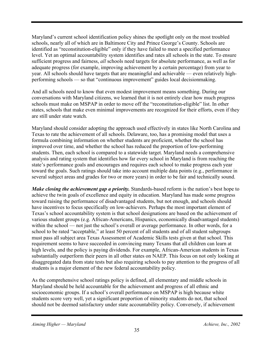Maryland's current school identification policy shines the spotlight only on the most troubled schools, nearly all of which are in Baltimore City and Prince George's County. Schools are identified as "reconstitution-eligible" only if they have failed to meet a specified performance level. Yet an optimal accountability system identifies and rates all schools in the state. To ensure sufficient progress and fairness, *all* schools need targets for absolute performance, as well as for adequate progress (for example, improving achievement by a certain percentage) from year to year. All schools should have targets that are meaningful and achievable — even relatively highperforming schools — so that "continuous improvement" guides local decisionmaking.

And all schools need to know that even modest improvement means something. During our conversations with Maryland citizens, we learned that it is not entirely clear how much progress schools must make on MSPAP in order to move off the "reconstitution-eligible" list. In other states, schools that make even minimal improvements are recognized for their efforts, even if they are still under state watch.

Maryland should consider adopting the approach used effectively in states like North Carolina and Texas to rate the achievement of all schools. Delaware, too, has a promising model that uses a formula combining information on whether students are proficient, whether the school has improved over time, and whether the school has reduced the proportion of low-performing students. Then, each school is compared to a statewide target. Maryland needs a comprehensive analysis and rating system that identifies how far every school in Maryland is from reaching the state's performance goals and encourages and requires each school to make progress each year toward the goals. Such ratings should take into account multiple data points (e.g., performance in several subject areas and grades for two or more years) in order to be fair and technically sound.

*Make closing the achievement gap a priority.* Standards-based reform is the nation's best hope to achieve the twin goals of excellence and equity in education. Maryland has made some progress toward raising the performance of disadvantaged students, but not enough, and schools should have incentives to focus specifically on low-achievers. Perhaps the most important element of Texas's school accountability system is that school designations are based on the achievement of various student groups (e.g. African-Americans, Hispanics, economically disadvantaged students) within the school — not just the school's overall or average performance. In other words, for a school to be rated "acceptable," at least 50 percent of all students and of all student subgroups must pass all subject area Texas Assessment of Academic Skills tests given at that school. This requirement seems to have succeeded in convincing many Texans that all children can learn at high levels, and the policy is paying dividends. For example, African-American students in Texas substantially outperform their peers in all other states on NAEP. This focus on not only looking at disaggregated data from state tests but also requiring schools to pay attention to the progress of all students is a major element of the new federal accountability policy.

As the comprehensive school ratings policy is defined, all elementary and middle schools in Maryland should be held accountable for the achievement and progress of all ethnic and socioeconomic groups. If a school's overall performance on MSPAP is high because white students score very well, yet a significant proportion of minority students do not, that school should not be deemed satisfactory under state accountability policy. Conversely, if achievement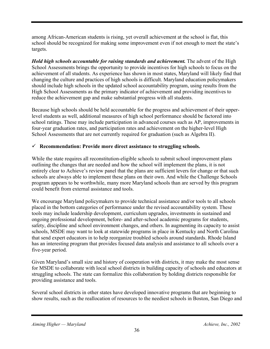among African-American students is rising, yet overall achievement at the school is flat, this school should be recognized for making some improvement even if not enough to meet the state's targets.

*Hold high schools accountable for raising standards and achievement.* The advent of the High School Assessments brings the opportunity to provide incentives for high schools to focus on the achievement of all students. As experience has shown in most states, Maryland will likely find that changing the culture and practices of high schools is difficult. Maryland education policymakers should include high schools in the updated school accountability program, using results from the High School Assessments as the primary indicator of achievement and providing incentives to reduce the achievement gap and make substantial progress with all students.

Because high schools should be held accountable for the progress and achievement of their upperlevel students as well, additional measures of high school performance should be factored into school ratings. These may include participation in advanced courses such as AP, improvements in four-year graduation rates, and participation rates and achievement on the higher-level High School Assessments that are not currently required for graduation (such as Algebra II).

#### 9 **Recommendation: Provide more direct assistance to struggling schools.**

While the state requires all reconstitution-eligible schools to submit school improvement plans outlining the changes that are needed and how the school will implement the plans, it is not entirely clear to Achieve's review panel that the plans are sufficient levers for change or that such schools are always able to implement these plans on their own. And while the Challenge Schools program appears to be worthwhile, many more Maryland schools than are served by this program could benefit from external assistance and tools.

We encourage Maryland policymakers to provide technical assistance and/or tools to all schools placed in the bottom categories of performance under the revised accountability system. These tools may include leadership development, curriculum upgrades, investments in sustained and ongoing professional development, before- and after-school academic programs for students, safety, discipline and school environment changes, and others. In augmenting its capacity to assist schools, MSDE may want to look at statewide programs in place in Kentucky and North Carolina that send expert educators in to help reorganize troubled schools around standards. Rhode Island has an interesting program that provides focused data analysis and assistance to all schools over a five-year period.

Given Maryland's small size and history of cooperation with districts, it may make the most sense for MSDE to collaborate with local school districts in building capacity of schools and educators at struggling schools. The state can formalize this collaboration by holding districts responsible for providing assistance and tools.

Several school districts in other states have developed innovative programs that are beginning to show results, such as the reallocation of resources to the neediest schools in Boston, San Diego and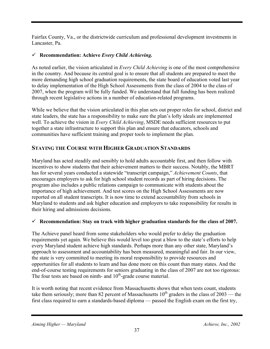Fairfax County, Va., or the districtwide curriculum and professional development investments in Lancaster, Pa.

#### 9 **Recommendation: Achieve** *Every Child Achieving.*

As noted earlier, the vision articulated in *Every Child Achieving* is one of the most comprehensive in the country. And because its central goal is to ensure that all students are prepared to meet the more demanding high school graduation requirements, the state board of education voted last year to delay implementation of the High School Assessments from the class of 2004 to the class of 2007, when the program will be fully funded. We understand that full funding has been realized through recent legislative actions in a number of education-related programs.

While we believe that the vision articulated in this plan sets out proper roles for school, district and state leaders, the state has a responsibility to make sure the plan's lofty ideals are implemented well. To achieve the vision in *Every Child Achieving*, MSDE needs sufficient resources to put together a state infrastructure to support this plan and ensure that educators, schools and communities have sufficient training and proper tools to implement the plan.

#### **STAYING THE COURSE WITH HIGHER GRADUATION STANDARDS**

Maryland has acted steadily and sensibly to hold adults accountable first, and then follow with incentives to show students that their achievement matters to their success. Notably, the MBRT has for several years conducted a statewide "transcript campaign," *Achievement Counts*, that encourages employers to ask for high school student records as part of hiring decisions. The program also includes a public relations campaign to communicate with students about the importance of high achievement. And test scores on the High School Assessments are now reported on all student transcripts. It is now time to extend accountability from schools in Maryland to students and ask higher education and employers to take responsibility for results in their hiring and admissions decisions.

#### $\checkmark$  Recommendation: Stay on track with higher graduation standards for the class of 2007.

The Achieve panel heard from some stakeholders who would prefer to delay the graduation requirements yet again. We believe this would level too great a blow to the state's efforts to help every Maryland student achieve high standards. Perhaps more than any other state, Maryland's approach to assessment and accountability has been measured, meaningful and fair. In our view, the state is very committed to meeting its moral responsibility to provide resources and opportunities for all students to learn and has done more on this count than many states. And the end-of-course testing requirements for seniors graduating in the class of 2007 are not too rigorous: The four tests are based on ninth- and  $10<sup>th</sup>$ -grade course material.

It is worth noting that recent evidence from Massachusetts shows that when tests count, students take them seriously; more than 82 percent of Massachusetts  $10^{th}$  graders in the class of  $2003$  — the first class required to earn a standards-based diploma — passed the English exam on the first try,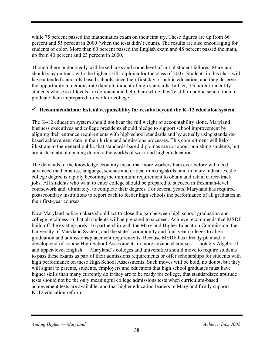while 75 percent passed the mathematics exam on their first try. These figures are up from 66 percent and 55 percent in 2000 (when the tests didn't count). The results are also encouraging for students of color. More than 60 percent passed the English exam and 48 percent passed the math, up from 40 percent and 23 percent in 2000.

Though there undoubtedly will be setbacks and some level of initial student failures, Maryland should stay on track with the higher-skills diploma for the class of 2007. Students in this class will have attended standards-based schools since their first day of public education, and they deserve the opportunity to demonstrate their attainment of high standards. In fact, it's fairer to identify students whose skill levels are deficient and help them while they're still in public school than to graduate them unprepared for work or college.

#### $\checkmark$  Recommendation: Extend responsibility for results beyond the K–12 education system.

The K–12 education system should not bear the full weight of accountability alone. Maryland business executives and college presidents should pledge to support school improvement by aligning their entrance requirements with high school standards and by actually using standardsbased achievement data in their hiring and admissions processes. This commitment will help illustrate to the general public that standards-based diplomas are not about punishing students, but are instead about opening doors to the worlds of work and higher education.

The demands of the knowledge economy mean that more workers than ever before will need advanced mathematics, language, science and critical thinking skills; and in many industries, the college degree is rapidly becoming the minimum requirement to obtain and retain career-track jobs. All students who want to enter college should be prepared to succeed in freshman-level coursework and, ultimately, to complete their degrees. For several years, Maryland has required postsecondary institutions to report back to feeder high schools the performance of all graduates in their first-year courses.

Now Maryland policymakers should act to close the gap between high school graduation and college readiness so that all students will be prepared to succeed. Achieve recommends that MSDE build off the existing preK–16 partnership with the Maryland Higher Education Commission, the University of Maryland System, and the state's community and four-year colleges to align graduation and admissions/placement requirements. Because MSDE has already planned to develop end-of-course High School Assessments in more advanced courses — notably Algebra II and upper-level English — Maryland's colleges and universities should move to require students to pass these exams as part of their admissions requirements or offer scholarships for students with high performance on these High School Assessments. Such moves will be bold, no doubt, but they will signal to parents, students, employers and educators that high school graduates must have higher skills than many currently do if they are to be ready for college, that standardized aptitude tests should not be the only meaningful college admissions tests when curriculum-based achievement tests are available, and that higher education leaders in Maryland firmly support K–12 education reform.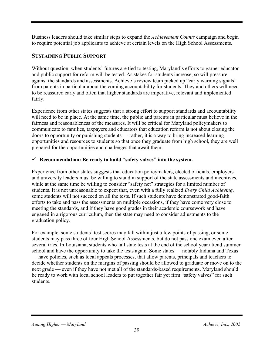Business leaders should take similar steps to expand the *Achievement Counts* campaign and begin to require potential job applicants to achieve at certain levels on the High School Assessments.

#### **SUSTAINING PUBLIC SUPPORT**

Without question, when students' futures are tied to testing, Maryland's efforts to garner educator and public support for reform will be tested. As stakes for students increase, so will pressure against the standards and assessments. Achieve's review team picked up "early warning signals" from parents in particular about the coming accountability for students. They and others will need to be reassured early and often that higher standards are imperative, relevant and implemented fairly.

Experience from other states suggests that a strong effort to support standards and accountability will need to be in place. At the same time, the public and parents in particular must believe in the fairness and reasonableness of the measures. It will be critical for Maryland policymakers to communicate to families, taxpayers and educators that education reform is not about closing the doors to opportunity or punishing students — rather, it is a way to bring increased learning opportunities and resources to students so that once they graduate from high school, they are well prepared for the opportunities and challenges that await them.

#### $\checkmark$  Recommendation: Be ready to build "safety valves" into the system.

Experience from other states suggests that education policymakers, elected officials, employers and university leaders must be willing to stand in support of the state assessments and incentives, while at the same time be willing to consider "safety net" strategies for a limited number of students. It is not unreasonable to expect that, even with a fully realized *Every Child Achieving*, some students will not succeed on all the tests. If such students have demonstrated good-faith efforts to take and pass the assessments on multiple occasions, if they have come very close to meeting the standards, and if they have good grades in their academic coursework and have engaged in a rigorous curriculum, then the state may need to consider adjustments to the graduation policy.

For example, some students' test scores may fall within just a few points of passing, or some students may pass three of four High School Assessments, but do not pass one exam even after several tries. In Louisiana, students who fail state tests at the end of the school year attend summer school and have the opportunity to take the tests again. Some states — notably Indiana and Texas — have policies, such as local appeals processes, that allow parents, principals and teachers to decide whether students on the margins of passing should be allowed to graduate or move on to the next grade — even if they have not met all of the standards-based requirements. Maryland should be ready to work with local school leaders to put together fair yet firm "safety valves" for such students.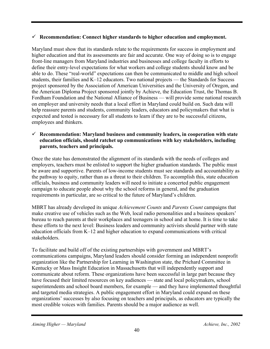#### $\checkmark$  Recommendation: Connect higher standards to higher education and employment.

Maryland must show that its standards relate to the requirements for success in employment and higher education and that its assessments are fair and accurate. One way of doing so is to engage front-line managers from Maryland industries and businesses and college faculty in efforts to define their entry-level expectations for what workers and college students should know and be able to do. These "real-world" expectations can then be communicated to middle and high school students, their families and K–12 educators. Two national projects — the Standards for Success project sponsored by the Association of American Universities and the University of Oregon, and the American Diploma Project sponsored jointly by Achieve, the Education Trust, the Thomas B. Fordham Foundation and the National Alliance of Business — will provide some national research on employer and university needs that a local effort in Maryland could build on. Such data will help reassure parents and students, community leaders, educators and policymakers that what is expected and tested is necessary for all students to learn if they are to be successful citizens, employees and thinkers.

#### $\checkmark$  Recommendation: Maryland business and community leaders, in cooperation with state **education officials, should ratchet up communications with key stakeholders, including parents, teachers and principals.**

Once the state has demonstrated the alignment of its standards with the needs of colleges and employers, teachers must be enlisted to support the higher graduation standards. The public must be aware and supportive. Parents of low-income students must see standards and accountability as the pathway to equity, rather than as a threat to their children. To accomplish this, state education officials, business and community leaders will need to initiate a concerted public engagement campaign to educate people about why the school reforms in general, and the graduation requirements in particular, are so critical to the future of Maryland's children.

MBRT has already developed its unique *Achievement Counts* and *Parents Count* campaigns that make creative use of vehicles such as the Web, local radio personalities and a business speakers' bureau to reach parents at their workplaces and teenagers in school and at home. It is time to take these efforts to the next level: Business leaders and community activists should partner with state education officials from K–12 and higher education to expand communications with critical stakeholders.

To facilitate and build off of the existing partnerships with government and MBRT's communications campaigns, Maryland leaders should consider forming an independent nonprofit organization like the Partnership for Learning in Washington state, the Prichard Committee in Kentucky or Mass Insight Education in Massachusetts that will independently support and communicate about reform. These organizations have been successful in large part because they have focused their limited resources on key audiences — state and local policymakers, school superintendents and school board members, for example — and they have implemented thoughtful and targeted media strategies. A public engagement effort in Maryland could expand on these organizations' successes by also focusing on teachers and principals, as educators are typically the most credible voices with families. Parents should be a major audience as well.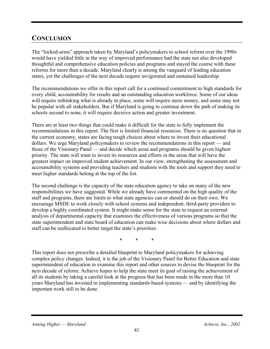# **CONCLUSION**

The "locked-arms" approach taken by Maryland's policymakers to school reform over the 1990s would have yielded little in the way of improved performance had the state not also developed thoughtful and comprehensive education policies and programs and stayed the course with these reforms for more than a decade. Maryland clearly is among the vanguard of leading education states, yet the challenges of the next decade require invigorated and sustained leadership.

The recommendations we offer in this report call for a continued commitment to high standards for every child, accountability for results and an outstanding education workforce. Some of our ideas will require rethinking what is already in place, some will require more money, and some may not be popular with all stakeholders. But if Maryland is going to continue down the path of making its schools second to none, it will require decisive action and greater investment.

There are at least two things that could make it difficult for the state to fully implement the recommendations in this report. The first is limited financial resources. There is no question that in the current economy, states are facing tough choices about where to invest their educational dollars. We urge Maryland policymakers to review the recommendations in this report — and those of the Visionary Panel — and decide which areas and programs should be given highest priority. The state will want to invest its resources and efforts in the areas that will have the greatest impact on improved student achievement. In our view, strengthening the assessment and accountability systems and providing teachers and students with the tools and support they need to meet higher standards belong at the top of the list.

The second challenge is the capacity of the state education agency to take on many of the new responsibilities we have suggested. While we already have commented on the high quality of the staff and programs, there are limits to what state agencies can or should do on their own. We encourage MSDE to work closely with school systems and independent, third-party providers to develop a highly coordinated system. It might make sense for the state to request an external analysis of departmental capacity that examines the effectiveness of various programs so that the state superintendent and state board of education can make wise decisions about where dollars and staff can be reallocated to better target the state's priorities.

\*\*\*

This report does not prescribe a detailed blueprint to Maryland policymakers for achieving complex policy changes. Indeed, it is the job of the Visionary Panel for Better Education and state superintendent of education to examine this report and other sources to devise the blueprint for the next decade of reform. Achieve hopes to help the state meet its goal of raising the achievement of all its students by taking a careful look at the progress that has been made in the more than 10 years Maryland has invested in implementing standards-based systems — and by identifying the important work still to be done.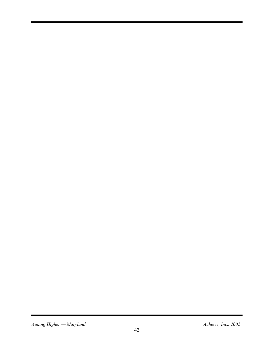*Aiming Higher — Maryland*  $A$ *chieve, Inc., 2002*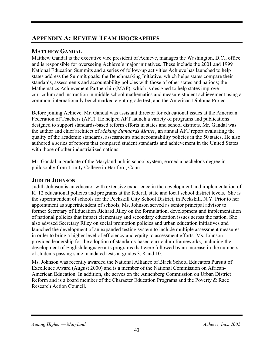# **APPENDIX A: REVIEW TEAM BIOGRAPHIES**

#### **MATTHEW GANDAL**

Matthew Gandal is the executive vice president of Achieve, manages the Washington, D.C., office and is responsible for overseeing Achieve's major initiatives. These include the 2001 and 1999 National Education Summits and a series of follow-up activities Achieve has launched to help states address the Summit goals; the Benchmarking Initiative, which helps states compare their standards, assessments and accountability policies with those of other states and nations; the Mathematics Achievement Partnership (MAP), which is designed to help states improve curriculum and instruction in middle school mathematics and measure student achievement using a common, internationally benchmarked eighth-grade test; and the American Diploma Project.

Before joining Achieve, Mr. Gandal was assistant director for educational issues at the American Federation of Teachers (AFT). He helped AFT launch a variety of programs and publications designed to support standards-based reform efforts in states and school districts. Mr. Gandal was the author and chief architect of *Making Standards Matter*, an annual AFT report evaluating the quality of the academic standards, assessments and accountability policies in the 50 states. He also authored a series of reports that compared student standards and achievement in the United States with those of other industrialized nations.

Mr. Gandal, a graduate of the Maryland public school system, earned a bachelor's degree in philosophy from Trinity College in Hartford, Conn.

#### **JUDITH JOHNSON**

Judith Johnson is an educator with extensive experience in the development and implementation of K–12 educational policies and programs at the federal, state and local school district levels. She is the superintendent of schools for the Peekskill City School District, in Peekskill, N.Y. Prior to her appointment as superintendent of schools, Ms. Johnson served as senior principal advisor to former Secretary of Education Richard Riley on the formulation, development and implementation of national policies that impact elementary and secondary education issues across the nation. She also advised Secretary Riley on social promotion policies and urban education initiatives and launched the development of an expanded testing system to include multiple assessment measures in order to bring a higher level of efficiency and equity to assessment efforts. Ms. Johnson provided leadership for the adoption of standards-based curriculum frameworks, including the development of English language arts programs that were followed by an increase in the numbers of students passing state mandated tests at grades 3, 8 and 10.

Ms. Johnson was recently awarded the National Alliance of Black School Educators Pursuit of Excellence Award (August 2000) and is a member of the National Commission on African-American Education. In addition, she serves on the Annenberg Commission on Urban District Reform and is a board member of the Character Education Programs and the Poverty & Race Research Action Council.

#### *Aiming Higher — Maryland*  $\blacksquare$  Achieve, Inc., 2002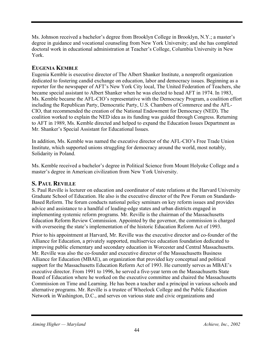Ms. Johnson received a bachelor's degree from Brooklyn College in Brooklyn, N.Y.; a master's degree in guidance and vocational counseling from New York University; and she has completed doctoral work in educational administration at Teacher's College, Columbia University in New York.

#### **EUGENIA KEMBLE**

Eugenia Kemble is executive director of The Albert Shanker Institute, a nonprofit organization dedicated to fostering candid exchange on education, labor and democracy issues. Beginning as a reporter for the newspaper of AFT's New York City local, The United Federation of Teachers, she became special assistant to Albert Shanker when he was elected to head AFT in 1974. In 1983, Ms. Kemble became the AFL-CIO's representative with the Democracy Program, a coalition effort including the Republican Party, Democratic Party, U.S. Chambers of Commerce and the AFL-CIO, that recommended the creation of the National Endowment for Democracy (NED). The coalition worked to explain the NED idea as its funding was guided through Congress. Returning to AFT in 1989, Ms. Kemble directed and helped to expand the Education Issues Department as Mr. Shanker's Special Assistant for Educational Issues.

In addition, Ms. Kemble was named the executive director of the AFL-CIO's Free Trade Union Institute, which supported unions struggling for democracy around the world, most notably, Solidarity in Poland.

Ms. Kemble received a bachelor's degree in Political Science from Mount Holyoke College and a master's degree in American civilization from New York University.

#### **S. PAUL REVILLE**

S. Paul Reville is lecturer on education and coordinator of state relations at the Harvard University Graduate School of Education. He also is the executive director of the Pew Forum on Standards-Based Reform. The forum conducts national policy seminars on key reform issues and provides advice and assistance to a handful of leading-edge states and urban districts engaged in implementing systemic reform programs. Mr. Reville is the chairman of the Massachusetts Education Reform Review Commission. Appointed by the governor, the commission is charged with overseeing the state's implementation of the historic Education Reform Act of 1993.

Prior to his appointment at Harvard, Mr. Reville was the executive director and co-founder of the Alliance for Education, a privately supported, multiservice education foundation dedicated to improving public elementary and secondary education in Worcester and Central Massachusetts. Mr. Reville was also the co-founder and executive director of the Massachusetts Business Alliance for Education (MBAE), an organization that provided key conceptual and political support for the Massachusetts Education Reform Act of 1993. He currently serves as MBAE's executive director. From 1991 to 1996, he served a five-year term on the Massachusetts State Board of Education where he worked on the executive committee and chaired the Massachusetts Commission on Time and Learning. He has been a teacher and a principal in various schools and alternative programs. Mr. Reville is a trustee of Wheelock College and the Public Education Network in Washington, D.C., and serves on various state and civic organizations and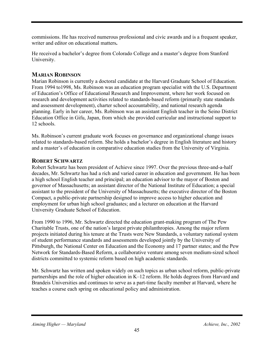commissions. He has received numerous professional and civic awards and is a frequent speaker, writer and editor on educational matters**.**

He received a bachelor's degree from Colorado College and a master's degree from Stanford University.

#### **MARIAN ROBINSON**

Marian Robinson is currently a doctoral candidate at the Harvard Graduate School of Education. From 1994 to1998, Ms. Robinson was an education program specialist with the U.S. Department of Education's Office of Educational Research and Improvement, where her work focused on research and development activities related to standards-based reform (primarily state standards and assessment development), charter school accountability, and national research agenda planning. Early in her career, Ms. Robinson was an assistant English teacher in the Seino District Education Office in Gifu, Japan, from which she provided curricular and instructional support to 12 schools.

Ms. Robinson's current graduate work focuses on governance and organizational change issues related to standards-based reform. She holds a bachelor's degree in English literature and history and a master's of education in comparative education studies from the University of Virginia.

#### **ROBERT SCHWARTZ**

Robert Schwartz has been president of Achieve since 1997. Over the previous three-and-a-half decades, Mr. Schwartz has had a rich and varied career in education and government. He has been a high school English teacher and principal; an education advisor to the mayor of Boston and governor of Massachusetts; an assistant director of the National Institute of Education; a special assistant to the president of the University of Massachusetts; the executive director of the Boston Compact, a public-private partnership designed to improve access to higher education and employment for urban high school graduates; and a lecturer on education at the Harvard University Graduate School of Education.

From 1990 to 1996, Mr. Schwartz directed the education grant-making program of The Pew Charitable Trusts, one of the nation's largest private philanthropies. Among the major reform projects initiated during his tenure at the Trusts were New Standards, a voluntary national system of student performance standards and assessments developed jointly by the University of Pittsburgh, the National Center on Education and the Economy and 17 partner states; and the Pew Network for Standards-Based Reform, a collaborative venture among seven medium-sized school districts committed to systemic reform based on high academic standards.

Mr. Schwartz has written and spoken widely on such topics as urban school reform, public-private partnerships and the role of higher education in K–12 reform. He holds degrees from Harvard and Brandeis Universities and continues to serve as a part-time faculty member at Harvard, where he teaches a course each spring on educational policy and administration.

#### *Aiming Higher — Maryland*  $\blacksquare$  Achieve, Inc., 2002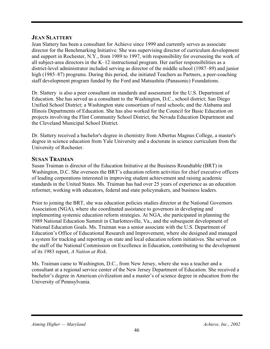#### **JEAN SLATTERY**

Jean Slattery has been a consultant for Achieve since 1999 and currently serves as associate director for the Benchmarking Initiative. She was supervising director of curriculum development and support in Rochester, N.Y., from 1989 to 1997, with responsibility for overseeing the work of all subject-area directors in the K–12 instructional program. Her earlier responsibilities as a district-level administrator included serving as director of the middle school (1987–89) and junior high (1985–87) programs. During this period, she initiated Teachers as Partners, a peer-coaching staff development program funded by the Ford and Matsushita (Panasonic) Foundations.

Dr. Slattery is also a peer consultant on standards and assessment for the U.S. Department of Education. She has served as a consultant to the Washington, D.C., school district; San Diego Unified School District; a Washington state consortium of rural schools; and the Alabama and Illinois Departments of Education. She has also worked for the Council for Basic Education on projects involving the Flint Community School District, the Nevada Education Department and the Cleveland Municipal School District.

Dr. Slattery received a bachelor's degree in chemistry from Albertus Magnus College, a master's degree in science education from Yale University and a doctorate in science curriculum from the University of Rochester.

#### **SUSAN TRAIMAN**

Susan Traiman is director of the Education Initiative at the Business Roundtable (BRT) in Washington, D.C. She oversees the BRT's education reform activities for chief executive officers of leading corporations interested in improving student achievement and raising academic standards in the United States. Ms. Traiman has had over 25 years of experience as an education reformer, working with educators, federal and state policymakers, and business leaders.

Prior to joining the BRT, she was education policies studies director at the National Governors Association (NGA), where she coordinated assistance to governors in developing and implementing systemic education reform strategies. At NGA, she participated in planning the 1989 National Education Summit in Charlottesville, Va., and the subsequent development of National Education Goals. Ms. Traiman was a senior associate with the U.S. Department of Education's Office of Educational Research and Improvement, where she designed and managed a system for tracking and reporting on state and local education reform initiatives. She served on the staff of the National Commission on Excellence in Education, contributing to the development of its 1983 report, *A Nation at Risk*.

Ms. Traiman came to Washington, D.C., from New Jersey, where she was a teacher and a consultant at a regional service center of the New Jersey Department of Education. She received a bachelor's degree in American civilization and a master's of science degree in education from the University of Pennsylvania.

#### *Aiming Higher — Maryland*  $\blacksquare$  Achieve, Inc., 2002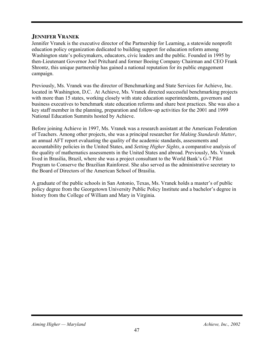#### **JENNIFER VRANEK**

Jennifer Vranek is the executive director of the Partnership for Learning, a statewide nonprofit education policy organization dedicated to building support for education reform among Washington state's policymakers, educators, civic leaders and the public. Founded in 1995 by then-Lieutenant Governor Joel Pritchard and former Boeing Company Chairman and CEO Frank Shrontz, this unique partnership has gained a national reputation for its public engagement campaign.

Previously, Ms. Vranek was the director of Benchmarking and State Services for Achieve, Inc. located in Washington, D.C. At Achieve, Ms. Vranek directed successful benchmarking projects with more than 15 states, working closely with state education superintendents, governors and business executives to benchmark state education reforms and share best practices. She was also a key staff member in the planning, preparation and follow-up activities for the 2001 and 1999 National Education Summits hosted by Achieve.

Before joining Achieve in 1997, Ms. Vranek was a research assistant at the American Federation of Teachers. Among other projects, she was a principal researcher for *Making Standards Matter*, an annual AFT report evaluating the quality of the academic standards, assessments and accountability policies in the United States, and *Setting Higher Sights*, a comparative analysis of the quality of mathematics assessments in the United States and abroad. Previously, Ms. Vranek lived in Brasilia, Brazil, where she was a project consultant to the World Bank's G-7 Pilot Program to Conserve the Brazilian Rainforest. She also served as the administrative secretary to the Board of Directors of the American School of Brasilia.

A graduate of the public schools in San Antonio, Texas, Ms. Vranek holds a master's of public policy degree from the Georgetown University Public Policy Institute and a bachelor's degree in history from the College of William and Mary in Virginia.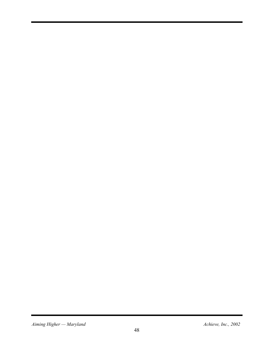*Aiming Higher — Maryland*  $A$ *chieve, Inc., 2002*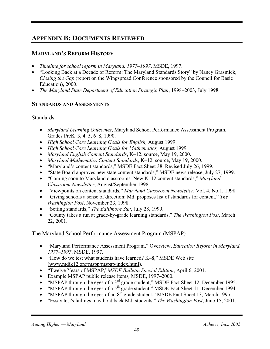## **APPENDIX B: DOCUMENTS REVIEWED**

#### **MARYLAND'S REFORM HISTORY**

- *Timeline for school reform in Maryland, 1977–1997*, MSDE, 1997.
- "Looking Back at a Decade of Reform: The Maryland Standards Story" by Nancy Grasmick, *Closing the Gap* (report on the Wingspread Conference sponsored by the Council for Basic Education), 2000.
- *The Maryland State Department of Education Strategic Plan*, 1998–2003, July 1998.

#### **STANDARDS AND ASSESSMENTS**

#### **Standards**

- *Maryland Learning Outcomes*, Maryland School Performance Assessment Program, Grades PreK–3, 4–5, 6–8, 1990.
- *High School Core Learning Goals for English,* August 1999.
- *High School Core Learning Goals for Mathematics,* August 1999.
- *Maryland English Content Standards*, K–12, source, May 19, 2000.
- *Maryland Mathematics Content Standards*, K–12, source, May 19, 2000.
- "Maryland's content standards," MSDE Fact Sheet 38, Revised July 26, 1999.
- "State Board approves new state content standards," MSDE news release, July 27, 1999.
- "Coming soon to Maryland classrooms: New K–12 content standards," *Maryland Classroom Newsletter*, August/September 1998.
- "Viewpoints on content standards," *Maryland Classroom Newsletter*, Vol. 4, No.1, 1998.
- "Giving schools a sense of direction: Md. proposes list of standards for content," *The Washington Post*, November 23, 1998.
- "Setting standards," *The Baltimore Sun*, July 28, 1999.
- "County takes a run at grade-by-grade learning standards," *The Washington Post*, March 22, 2001.

#### The Maryland School Performance Assessment Program (MSPAP)

- "Maryland Performance Assessment Program," Overview, *Education Reform in Maryland, 1977–1997*, MSDE, 1997.
- "How do we test what students have learned? K–8," MSDE Web site (www.mdjk12.org/mspp/mspap/index.html).
- "Twelve Years of MSPAP,"*MSDE Bulletin Special Edition*, April 6, 2001.
- Example MSPAP public release items*,* MSDE, 1997–2000.
- "MSPAP through the eyes of a  $3<sup>rd</sup>$  grade student," MSDE Fact Sheet 12, December 1995.
- "MSPAP through the eyes of a  $5<sup>th</sup>$  grade student," MSDE Fact Sheet 11, December 1994.
- "MSPAP through the eyes of an  $8^{th}$  grade student," MSDE Fact Sheet 13, March 1995.
- "Essay test's failings may hold back Md. students," *The Washington Post*, June 15, 2001.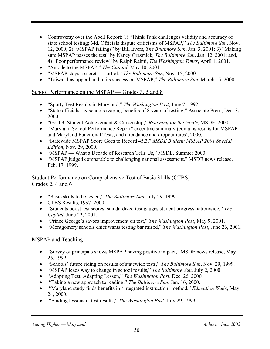- Controversy over the Abell Report: 1) "Think Tank challenges validity and accuracy of state school testing; Md. Officials dispute criticisms of MSPAP," *The Baltimore Sun*, Nov. 12, 2000; 2) "MSPAP failings" by Bill Evers, *The Baltimore Sun*, Jan. 3, 2001; 3) "Making sure MSPAP passes the test" by Nancy Grasmick, *The Baltimore Sun*, Jan. 12, 2001; and, 4) "Poor performance review" by Ralph Raimi, *The Washington Times*, April 1, 2001.
- "An ode to the MSPAP," *The Capital*, May 10, 2001.
- "MSPAP stays a secret sort of," *The Baltimore Sun*, Nov. 15, 2000.
- "Taiwan has upper hand in its success on MSPAP," *The Baltimore Sun*, March 15, 2000.

#### School Performance on the MSPAP — Grades 3, 5 and 8

- "Spotty Test Results in Maryland," *The Washington Post*, June 7, 1992.
- "State officials say schools reaping benefits of 8 years of testing," Associate Press, Dec. 3, 2000.
- "Goal 3: Student Achievement & Citizenship," *Reaching for the Goals*, MSDE, 2000.
- "Maryland School Performance Report" executive summary (contains results for MSPAP and Maryland Functional Tests, and attendance and dropout rates), 2000.
- "Statewide MSPAP Score Goes to Record 45.3," *MSDE Bulletin MSPAP 2001 Special Edition*, Nov. 29, 2000.
- "MSPAP What a Decade of Research Tells Us," MSDE, Summer 2000.
- "MSPAP judged comparable to challenging national assessment," MSDE news release, Feb. 17, 1999.

#### Student Performance on Comprehensive Test of Basic Skills (CTBS) — Grades 2, 4 and 6

- "Basic skills to be tested," *The Baltimore Sun*, July 29, 1999.
- CTBS Results, 1997–2000.
- "Students boost test scores; standardized test gauges student progress nationwide," *The Capital*, June 22, 2001.
- "Prince George's savors improvement on test," *The Washington Post*, May 9, 2001.
- "Montgomery schools chief wants testing bar raised," *The Washington Post*, June 26, 2001.

#### MSPAP and Teaching

- "Survey of principals shows MSPAP having positive impact," MSDE news release, May 26, 1999.
- "Schools' future riding on results of statewide tests," *The Baltimore Sun*, Nov. 29, 1999.
- "MSPAP leads way to change in school results," *The Baltimore Sun*, July 2, 2000.
- "Adopting Test, Adapting Lesson," *The Washington Post*, Dec. 26, 2000.
- "Taking a new approach to reading," *The Baltimore Sun*, Jan. 16, 2000.
- "Maryland study finds benefits in 'integrated instruction' method," *Education Wee*k, May 24, 2000.
- "Finding lessons in test results," *The Washington Post*, July 29, 1999.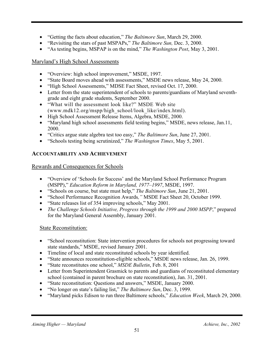- "Getting the facts about education," *The Baltimore Sun*, March 29, 2000.
- "Revisiting the stars of past MSPAPs," *The Baltimore Sun,* Dec. 3, 2000.
- "As testing begins, MSPAP is on the mind," *The Washington Post*, May 3, 2001.

#### Maryland's High School Assessments

- "Overview: high school improvement," MSDE, 1997.
- "State Board moves ahead with assessments," MSDE news release, May 24, 2000.
- "High School Assessments," MDSE Fact Sheet, revised Oct. 17, 2000.
- Letter from the state superintendent of schools to parents/guardians of Maryland seventhgrade and eight grade students, September 2000.
- "What will the assessment look like?" MSDE Web site  $(www.mdk12.org/mspph/igh school/look like/index.html)$ .
- High School Assessment Release Items, Algebra, MSDE, 2000.
- "Maryland high school assessments field testing begins," MSDE, news release, Jan.11, 2000.
- "Critics argue state algebra test too easy," *The Baltimore Sun*, June 27, 2001.
- "Schools testing being scrutinized," *The Washington Times*, May 5, 2001.

#### **ACCOUNTABILITY AND ACHIEVEMENT**

Rewards and Consequences for Schools

- "Overview of 'Schools for Success' and the Maryland School Performance Program (MSPP)," *Education Reform in Maryland, 1977–1997*, MSDE, 1997.
- "Schools on course, but state must help," *The Baltimore Sun*, June 21, 2001.
- "School Performance Recognition Awards*,"* MSDE Fact Sheet 20, October 1999.
- "State releases list of 354 improving schools," May 2001.
- *The Challenge Schools Initiative, Progress through the 1999 and 2000 MSPP*," prepared for the Maryland General Assembly, January 2001.

#### State Reconstitution:

- "School reconstitution: State intervention procedures for schools not progressing toward state standards," MSDE, revised January 2001.
- Timeline of local and state reconstituted schools by year identified.
- "State announces reconstitution-eligible schools," MSDE news release, Jan. 26, 1999.
- "State reconstitutes one school," *MSDE Bulletin*, Feb. 8, 2001
- Letter from Superintendent Grasmick to parents and guardians of reconstituted elementary school (contained in parent brochure on state reconstitution), Jan. 31, 2001.
- "State reconstitution: Questions and answers," MSDE, January 2000.
- "No longer on state's failing list," *The Baltimore Sun*, Dec. 3, 1999.
- "Maryland picks Edison to run three Baltimore schools," *Education Week*, March 29, 2000.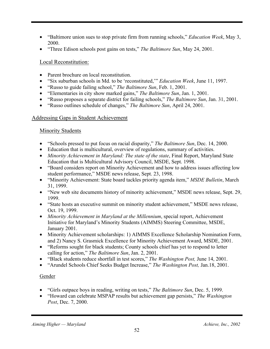- "Baltimore union sues to stop private firm from running schools," *Education Week*, May 3, 2000.
- "Three Edison schools post gains on tests," *The Baltimore Sun*, May 24, 2001.

#### Local Reconstitution:

- Parent brochure on local reconstitution.
- "Six suburban schools in Md. to be 'reconstituted,'" *Education Week*, June 11, 1997.
- "Russo to guide failing school," *The Baltimore Sun*, Feb. 1, 2001.
- "Elementaries in city show marked gains," *The Baltimore Sun*, Jan. 1, 2001.
- "Russo proposes a separate district for failing schools," *The Baltimore Sun*, Jan. 31, 2001.
- "Russo outlines schedule of changes," *The Baltimore Sun*, April 24, 2001.

#### Addressing Gaps in Student Achievement

#### **Minority Students**

- "Schools pressed to put focus on racial disparity," *The Baltimore Sun*, Dec. 14, 2000.
- Education that is multicultural, overview of regulations, summary of activities.
- *Minority Achievement in Maryland: The state of the state*, Final Report, Maryland State Education that is Multicultural Advisory Council, MSDE, Sept. 1998.
- "Board considers report on Minority Achievement and how to address issues affecting low student performance," MSDE news release, Sept. 23, 1998.
- "Minority Achievement: State board tackles priority agenda item," *MSDE Bulletin*, March 31, 1999.
- "New web site documents history of minority achievement," MSDE news release, Sept. 29, 1999.
- "State hosts an executive summit on minority student achievement," MSDE news release, Oct. 19, 1999.
- *Minority Achievement in Maryland at the Millennium*, special report, Achievement Initiative for Maryland's Minority Students (AIMMS) Steering Committee, MSDE, January 2001.
- Minority Achievement scholarships: 1) AIMMS Excellence Scholarship Nomination Form, and 2) Nancy S. Grasmick Excellence for Minority Achievement Award, MSDE, 2001.
- "Reforms sought for black students; County schools chief has yet to respond to letter calling for action," *The Baltimore Sun*, Jan. 2, 2001.
- "Black students reduce shortfall in test scores," *The Washington Post,* June 14, 2001.
- "Arundel Schools Chief Seeks Budget Increase," *The Washington Post,* Jan.18, 2001.

#### **Gender**

- "Girls outpace boys in reading, writing on tests," *The Baltimore Sun*, Dec. 5, 1999.
- "Howard can celebrate MSPAP results but achievement gap persists," *The Washington Post*, Dec. 7, 2000.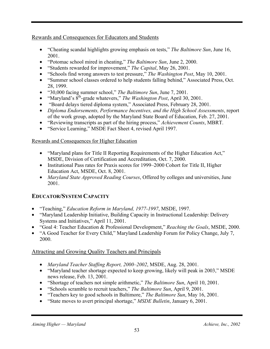#### Rewards and Consequences for Educators and Students

- "Cheating scandal highlights growing emphasis on tests," *The Baltimore Sun*, June 16, 2001.
- "Potomac school mired in cheating," *The Baltimore Sun*, June 2, 2000.
- "Students rewarded for improvement," *The Capital*, May 26, 2001.
- "Schools find wrong answers to test pressure," *The Washington Post*, May 10, 2001.
- "Summer school classes ordered to help students falling behind," Associated Press, Oct. 28, 1999.
- "30,000 facing summer school," *The Baltimore Sun*, June 7, 2001.
- "Maryland's 8th-grade whatevers," *The Washington Post*, April 30, 2001.
- "Board delays tiered diploma system," Associated Press, February 28, 2001.
- *Diploma Endorsements, Performance Incentives, and the High School Assessments*, report of the work group, adopted by the Maryland State Board of Education, Feb. 27, 2001.
- "Reviewing transcripts as part of the hiring process," *Achievement Counts*, MBRT.
- "Service Learning," MSDE Fact Sheet 4, revised April 1997.

#### Rewards and Consequences for Higher Education

- "Maryland plans for Title II Reporting Requirements of the Higher Education Act," MSDE, Division of Certification and Accreditation, Oct. 7, 2000.
- Institutional Pass rates for Praxis scores for 1999–2000 Cohort for Title II, Higher Education Act, MSDE, Oct. 8, 2001.
- *Maryland State Approved Reading Courses*, Offered by colleges and universities, June 2001.

#### **EDUCATOR/SYSTEM CAPACITY**

- "Teaching," *Education Reform in Maryland, 1977-1997*, MSDE, 1997.
- "Maryland Leadership Initiative, Building Capacity in Instructional Leadership: Delivery Systems and Initiatives," April 11, 2001.
- "Goal 4: Teacher Education & Professional Development," *Reaching the Goals*, MSDE, 2000.
- "A Good Teacher for Every Child," Maryland Leadership Forum for Policy Change, July 7, 2000.

#### Attracting and Growing Quality Teachers and Principals

- *Maryland Teacher Staffing Report, 2000–2002*, MSDE, Aug. 28, 2001.
- "Maryland teacher shortage expected to keep growing, likely will peak in 2003," MSDE news release, Feb. 13, 2001.
- "Shortage of teachers not simple arithmetic," *The Baltimore Sun*, April 10, 2001.
- "Schools scramble to recruit teachers," *The Baltimore Sun*, April 9, 2001.
- "Teachers key to good schools in Baltimore," *The Baltimore Sun*, May 16, 2001.
- "State moves to avert principal shortage," *MSDE Bulletin*, January 6, 2001.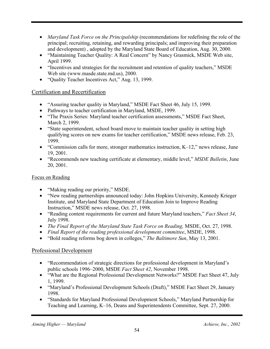- *Maryland Task Force on the Principalship* (recommendations for redefining the role of the principal; recruiting, retaining, and rewarding principals; and improving their preparation and development) , adopted by the Maryland State Board of Education, Aug. 30, 2000.
- "Maintaining Teacher Quality: A Real Concern" by Nancy Grasmick, MSDE Web site, April 1999.
- "Incentives and strategies for the recruitment and retention of quality teachers," MSDE Web site (www.masde.state.md.us), 2000.
- "Quality Teacher Incentives Act," Aug. 13, 1999.

#### Certification and Recertification

- "Assuring teacher quality in Maryland," MSDE Fact Sheet 46, July 15, 1999.
- Pathways to teacher certification in Maryland, MSDE, 1999.
- "The Praxis Series: Maryland teacher certification assessments," MSDE Fact Sheet, March 2, 1999.
- "State superintendent, school board move to maintain teacher quality in setting high qualifying scores on new exams for teacher certification," MSDE news release, Feb. 23, 1999.
- "Commission calls for more, stronger mathematics instruction, K–12," news release, June 19, 2001.
- "Recommends new teaching certificate at elementary, middle level," *MSDE Bulletin*, June 20, 2001.

#### Focus on Reading

- "Making reading our priority," MSDE.
- "New reading partnerships announced today: John Hopkins University, Kennedy Krieger Institute, and Maryland State Department of Education Join to Improve Reading Instruction," MSDE news release, Oct. 27, 1998.
- "Reading content requirements for current and future Maryland teachers," *Fact Sheet 34*, July 1998.
- *The Final Report of the Maryland State Task Force on Reading,* MSDE, Oct. 27, 1998.
- *Final Report of the reading professional development committee*, MSDE, 1998.
- "Bold reading reforms bog down in colleges," *The Baltimore Sun*, May 13, 2001.

#### Professional Development

- "Recommendation of strategic directions for professional development in Maryland's public schools 1996–2000, MSDE *Fact Sheet 42*, November 1998.
- "What are the Regional Professional Development Networks?" MSDE Fact Sheet 47, July 1, 1999.
- "Maryland's Professional Development Schools (Draft)," MSDE Fact Sheet 29, January 1998.
- "Standards for Maryland Professional Development Schools," Maryland Partnership for Teaching and Learning, K–16, Deans and Superintendents Committee, Sept. 27, 2000.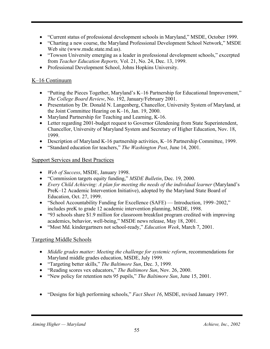- "Current status of professional development schools in Maryland," MSDE, October 1999.
- "Charting a new course, the Maryland Professional Development School Network," MSDE Web site (www.msde.state.md.us).
- "Towson University emerging as a leader in professional development schools," excerpted from *Teacher Education Reports,* Vol. 21, No. 24, Dec. 13, 1999.
- Professional Development School, Johns Hopkins University.

#### K–16 Continuum

- "Putting the Pieces Together, Maryland's K–16 Partnership for Educational Improvement," *The College Board Review*, No. 192, January/February 2001.
- Presentation by Dr. Donald N. Langenberg, Chancellor, University System of Maryland, at the Joint Committee Hearing on K–16, Jan. 19, 2000.
- Maryland Partnership for Teaching and Learning, K-16.
- Letter regarding 2001-budget request to Governor Glendening from State Superintendent, Chancellor, University of Maryland System and Secretary of Higher Education, Nov. 18, 1999.
- Description of Maryland K-16 partnership activities, K-16 Partnership Committee, 1999.
- "Standard education for teachers," *The Washington Post*, June 14, 2001.

#### Support Services and Best Practices

- *Web of Success*, MSDE, January 1998.
- "Commission targets equity funding," *MSDE Bulletin*, Dec. 19, 2000.
- *Every Child Achieving: A plan for meeting the needs of the individual learner* (Maryland's PreK–12 Academic Intervention Initiative), adopted by the Maryland State Board of Education, Oct. 27, 1999.
- "School Accountability Funding for Excellence (SAFE) Introduction, 1999–2002," includes preK to grade 12 academic intervention planning, MSDE, 1998.
- "93 schools share \$1.9 million for classroom breakfast program credited with improving academics, behavior, well-being," MSDE news release, May 18, 2001.
- "Most Md. kindergartners not school-ready," *Education Week*, March 7, 2001.

#### Targeting Middle Schools

- *Middle grades matter: Meeting the challenge for systemic reform*, recommendations for Maryland middle grades education, MSDE, July 1999.
- "Targeting better skills," *The Baltimore Sun*, Dec. 3, 1999*.*
- "Reading scores vex educators," *The Baltimore Sun*, Nov. 26, 2000.
- "New policy for retention nets 95 pupils," *The Baltimore Sun*, June 15, 2001.
- "Designs for high performing schools," *Fact Sheet 16*, MSDE, revised January 1997.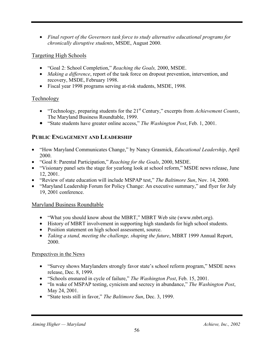• *Final report of the Governors task force to study alternative educational programs for chronically disruptive students*, MSDE, August 2000.

#### Targeting High Schools

- "Goal 2: School Completion," *Reaching the Goals,* 2000, MSDE.
- *Making a difference*, report of the task force on dropout prevention, intervention, and recovery, MSDE, February 1998.
- Fiscal year 1998 programs serving at-risk students, MSDE, 1998.

#### Technology

- "Technology, preparing students for the 21<sup>st</sup> Century," excerpts from *Achievement Counts*, The Maryland Business Roundtable, 1999.
- "State students have greater online access," *The Washington Post*, Feb. 1, 2001.

#### **PUBLIC ENGAGEMENT AND LEADERSHIP**

- "How Maryland Communicates Change," by Nancy Grasmick, *Educational Leadership*, April 2000.
- "Goal 8: Parental Participation," *Reaching for the Goals*, 2000, MSDE.
- "Visionary panel sets the stage for yearlong look at school reform," MSDE news release, June 12, 2001.
- "Review of state education will include MSPAP test," *The Baltimore Sun*, Nov. 14, 2000.
- "Maryland Leadership Forum for Policy Change: An executive summary," and flyer for July 19, 2001 conference.

#### Maryland Business Roundtable

- "What you should know about the MBRT," MBRT Web site (www.mbrt.org).
- History of MBRT involvement in supporting high standards for high school students.
- Position statement on high school assessment, source.
- *Taking a stand, meeting the challenge, shaping the future*, MBRT 1999 Annual Report, 2000.

#### Perspectives in the News

- "Survey shows Marylanders strongly favor state's school reform program," MSDE news release, Dec. 8, 1999.
- "Schools ensnared in cycle of failure," *The Washington Post*, Feb. 15, 2001.
- "In wake of MSPAP testing, cynicism and secrecy in abundance," *The Washington Post*, May 24, 2001.
- "State tests still in favor," *The Baltimore Sun*, Dec. 3, 1999.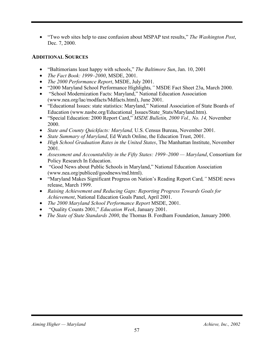• "Two web sites help to ease confusion about MSPAP test results," *The Washington Post*, Dec. 7, 2000.

#### **ADDITIONAL SOURCES**

- "Baltimorians least happy with schools," *The Baltimore Sun*, Jan. 10, 2001
- *The Fact Book: 1999–2000*, MSDE, 2001.
- *The 2000 Performance Report*, MSDE, July 2001.
- "2000 Maryland School Performance Highlights*,"* MSDE Fact Sheet 23a, March 2000.
- "School Modernization Facts: Maryland," National Education Association (www.nea.org/lac/modfacts/Mdfacts.html), June 2001.
- "Educational Issues: state statistics: Maryland," National Association of State Boards of Education (www.nasbe.org/Educational\_Issues/State\_Stats/Maryland.htm).
- "Special Education: 2000 Report Card," *MSDE Bulletin, 2000 Vol., No. 14,* November 2000.
- *State and County Quickfacts: Maryland,* U.S. Census Bureau, November 2001.
- *State Summary of Maryland*, Ed Watch Online, the Education Trust, 2001.
- *High School Graduation Rates in the United States*, The Manhattan Institute, November 2001.
- *Assessment and Accountability in the Fifty States: 1999–2000 Maryland*, Consortium for Policy Research In Education.
- "Good News about Public Schools in Maryland," National Education Association (www.nea.org/publiced/goodnews/md.html).
- "Maryland Makes Significant Progress on Nation's Reading Report Card*,"* MSDE news release, March 1999.
- *Raising Achievement and Reducing Gaps: Reporting Progress Towards Goals for Achievement*, National Education Goals Panel, April 2001.
- *The 2000 Maryland School Performance Report* MSDE, 2001.
- "Quality Counts 2001," *Education Week*, January 2001.
- *The State of State Standards 2000*, the Thomas B. Fordham Foundation, January 2000.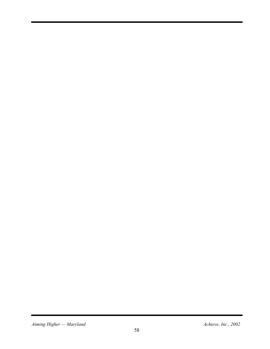*Aiming Higher — Maryland*  $A$ *chieve, Inc., 2002*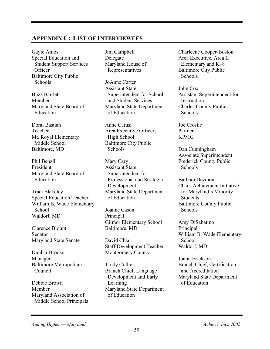#### **APPENDIX C: LIST OF INTERVIEWEES**

Gayle Amos Special Education and Student Support Services **Officer** Baltimore City Public **Schools** 

Buzz Bartlett Member Maryland State Board of Education

Doral Bastian Teacher Mt. Royal Elementary Middle School Baltimore, MD

Phil Benzil President Maryland State Board of Education

Traci Blakeley Special Education Teacher William B. Wade Elementary School Waldorf, MD

Clarence Blount Senator Maryland State Senate

Dunbar Brooks Manager Baltimore Metropolitan Council

Debbie Brown Member Maryland Association of Middle School Principals Jim Campbell Delegate Maryland House of Representatives

JoAnne Carter Assistant State Superintendent for School and Student Services Maryland State Department of Education

Anne Carusi Area Executive Officer, High School Baltimore City Public **Schools** 

Mary Cary Assistant State Superintendent for Professional and Strategic Development Maryland State Department of Education

Joanne Cason Principal Gilmor Elementary School Baltimore, MD

David Chia Staff Development Teacher Montgomery County

Trudy Collier Branch Chief, Language Development and Early Learning Maryland State Department of Education

Charleene Cooper-Boston Area Executive, Area II Elementary and K–8 Baltimore City Public **Schools** 

John Cox Assistant Superintendent for **Instruction** Charles County Public Schools

Joe Crostic Partner KPMG

Dan Cunningham Associate Superintendent Frederick County Public Schools

Barbara Dezmon Chair, Achievment Initiative for Maryland's Minority **Students** Baltimore County Public Schools

Amy DiSabatino Principal William B. Wade Elementary **School** Waldorf, MD

Joann Erickson Branch Chief, Certification and Accreditation Maryland State Department of Education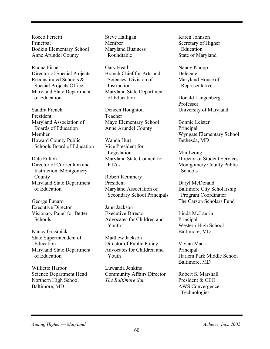Rocco Ferretti Principal Bodkin Elementary School Anne Arundel County

Rhona Fisher Director of Special Projects Reconstituted Schools & Special Projects Office Maryland State Department of Education

Sandra French President Maryland Association of Boards of Education Member Howard County Public Schools Board of Education

Dale Fulton Director of Curriculum and Instruction, Montgomery County Maryland State Department of Education

George Funaro Executive Director Visionary Panel for Better **Schools** 

Nancy Grasmick State Superintendent of Education Maryland State Department of Education

Williette Harbor Science Department Head Northern High School Baltimore, MD

Steve Halligan Member Maryland Business Roundtable

Gary Heath Branch Chief for Arts and Sciences, Division of **Instruction** Maryland State Department of Education

Deneen Houghton Teacher Mayo Elementary School Anne Arundel County

Wanda Hurt Vice President for Legislation Maryland State Council for PTAs

Robert Kemmery President Maryland Association of Secondary School Principals

Jann Jackson Executive Director Advocates for Children and Youth

Matthew Jackson Director of Public Policy Advocates for Children and Youth

Luwanda Jenkins Community Affairs Director *The Baltimore Sun*

Karen Johnson Secretary of Higher Education State of Maryland

Nancy Knopp Delegate Maryland House of Representatives

Donald Langenberg Professor University of Maryland

Bonnie Leister **Principal** Wyngate Elementary School Bethesda, MD

Min Leong Director of Student Services Montgomery County Public Schools

Daryl McDonald Baltimore City Scholarship Program Coordinator The Carson Scholars Fund

Linda McLaurin Principal Western High School Baltimore, MD

Vivian Mack Principal Harlem Park Middle School Baltimore, MD

Robert S. Marshall President & CEO AWS Convergence Technologies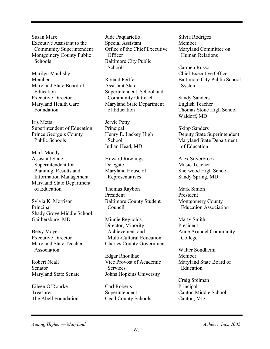Susan Marx Executive Assistant to the Community Superintendent Montgomery County Public **Schools** 

Marilyn Maultsby Member Maryland State Board of Education Executive Director Maryland Health Care Foundation

Iris Metts Superintendent of Education Prince George's County Public Schools

Mark Moody Assistant State Superintendent for Planning, Results and Information Management Maryland State Department of Education

Sylvia K. Morrison Principal Shady Grove Middle School Gaithersburg, MD

Betsy Moyer Executive Director Maryland State Teacher Association

Robert Neall Senator Maryland State Senate

Eileen O'Rourke Treasurer The Abell Foundation

Jude Paquariello Special Assistant Office of the Chief Executive **Officer** Baltimore City Public **Schools** 

Ronald Peiffer Assistant State Superintendent, School and Community Outreach Maryland State Department of Education

Jervie Petty Principal Henry E. Lackey High School Indian Head, MD

Howard Rawlings Delegate Maryland House of Representatives

Thomas Raybon President Baltimore County Student Council

Minnie Reynolds Director, Minority Achievement and Multi-Cultural Education Charles County Government

Edgar Rhoulhac Vice Provost of Academic **Services** Johns Hopkins University

Carl Roberts Superintendent Cecil County Schools Silvia Rodrigez Member Maryland Committee on Human Relations

Carmen Russo Chief Executive Officer Baltimore City Public School System

Sandy Sanders English Teacher Thomas Stone High School Waldorf, MD

Skipp Sanders Deputy State Superintendent Maryland State Department of Education

Alex Silverbrook Music Teacher Sherwood High School Sandy Spring, MD

Mark Simon President Montgomery County Education Association

Marty Smith President Anne Arundel Community College

Walter Sondheim Member Maryland State Board of Education

Craig Spilman Principal Canton Middle School Canton, MD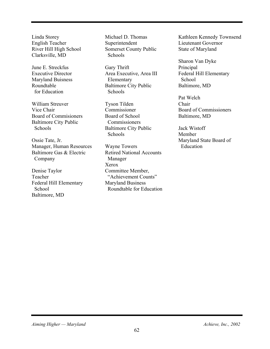Linda Storey English Teacher River Hill High School Clarksville, MD

June E. Streckfus Executive Director Maryland Buisness Roundtable for Education

William Streuver Vice Chair Board of Commisioners Baltimore City Public **Schools** 

Ossie Tate, Jr. Manager, Human Resources Baltimore Gas & Electric Company

Denise Taylor Teacher Federal Hill Elementary School Baltimore, MD

Michael D. Thomas Superintendent Somerset County Public Schools

Gary Thrift Area Executive, Area III Elementary Baltimore City Public Schools

Tyson Tilden Commissioner Board of School **Commissioners** Baltimore City Public Schools

Wayne Towers Retired National Accounts Manager Xerox Committee Member, "Achievement Counts" Maryland Business Roundtable for Education

Kathleen Kennedy Townsend Lieutenant Governor State of Maryland

Sharon Van Dyke Principal Federal Hill Elementary School Baltimore, MD

Pat Welch Chair Board of Commissioners Baltimore, MD

Jack Wistoff Member Maryland State Board of Education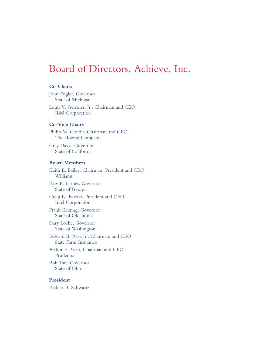# Board of Directors, Achieve, Inc.

#### **Co-Chairs**

John Engler, Governor State of Michigan Louis V. Gerstner, Jr., Chairman and CEO IBM Corporation

#### **Co-Vice Chairs**

Philip M. Condit, Chairman and CEO The Boeing Company

Gray Davis, Governor State of California

#### **Board Members**

Keith E. Bailey, Chairman, President and CEO Williams

Roy E. Barnes, Governor State of Georgia

Craig R. Barrett, President and CEO Intel Corporation

Frank Keating, Governor State of Oklahoma

Gary Locke, Governor State of Washington

Edward B. Rust Jr., Chairman and CEO State Farm Insurance

Arthur F. Ryan, Chairman and CEO Prudential

Bob Taft, Governor State of Ohio

#### **President**

Robert B. Schwartz